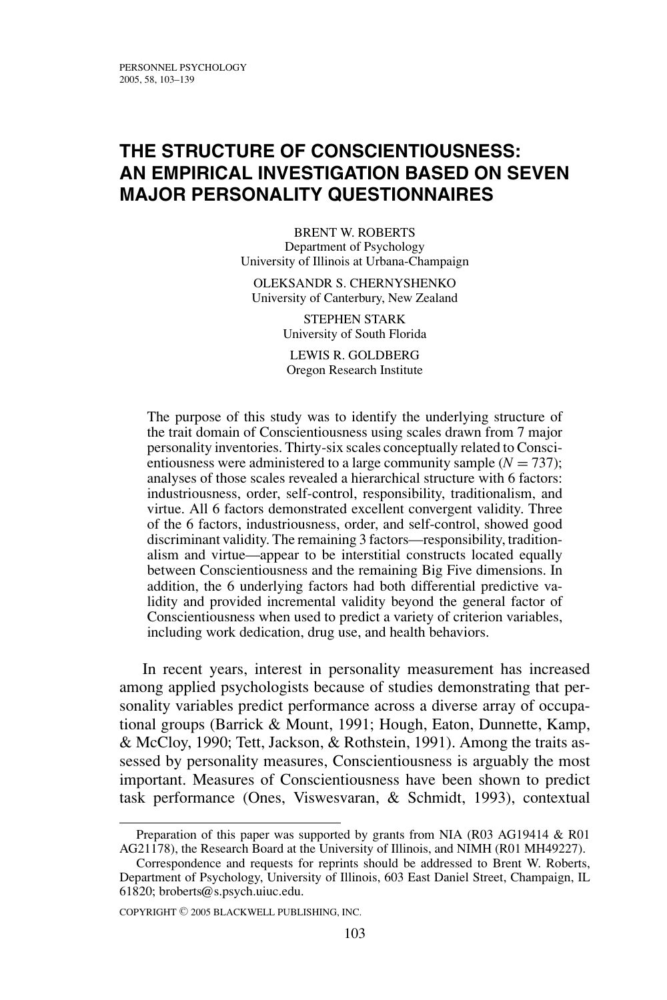# **THE STRUCTURE OF CONSCIENTIOUSNESS: AN EMPIRICAL INVESTIGATION BASED ON SEVEN MAJOR PERSONALITY QUESTIONNAIRES**

BRENT W. ROBERTS Department of Psychology University of Illinois at Urbana-Champaign

OLEKSANDR S. CHERNYSHENKO University of Canterbury, New Zealand

> STEPHEN STARK University of South Florida

LEWIS R. GOLDBERG Oregon Research Institute

The purpose of this study was to identify the underlying structure of the trait domain of Conscientiousness using scales drawn from 7 major personality inventories. Thirty-six scales conceptually related to Conscientiousness were administered to a large community sample  $(N = 737)$ ; analyses of those scales revealed a hierarchical structure with 6 factors: industriousness, order, self-control, responsibility, traditionalism, and virtue. All 6 factors demonstrated excellent convergent validity. Three of the 6 factors, industriousness, order, and self-control, showed good discriminant validity. The remaining 3 factors—responsibility, traditionalism and virtue—appear to be interstitial constructs located equally between Conscientiousness and the remaining Big Five dimensions. In addition, the 6 underlying factors had both differential predictive validity and provided incremental validity beyond the general factor of Conscientiousness when used to predict a variety of criterion variables, including work dedication, drug use, and health behaviors.

In recent years, interest in personality measurement has increased among applied psychologists because of studies demonstrating that personality variables predict performance across a diverse array of occupational groups (Barrick & Mount, 1991; Hough, Eaton, Dunnette, Kamp, & McCloy, 1990; Tett, Jackson, & Rothstein, 1991). Among the traits assessed by personality measures, Conscientiousness is arguably the most important. Measures of Conscientiousness have been shown to predict task performance (Ones, Viswesvaran, & Schmidt, 1993), contextual

COPYRIGHT C 2005 BLACKWELL PUBLISHING, INC.

Preparation of this paper was supported by grants from NIA (R03 AG19414 & R01) AG21178), the Research Board at the University of Illinois, and NIMH (R01 MH49227).

Correspondence and requests for reprints should be addressed to Brent W. Roberts, Department of Psychology, University of Illinois, 603 East Daniel Street, Champaign, IL 61820; broberts@s.psych.uiuc.edu.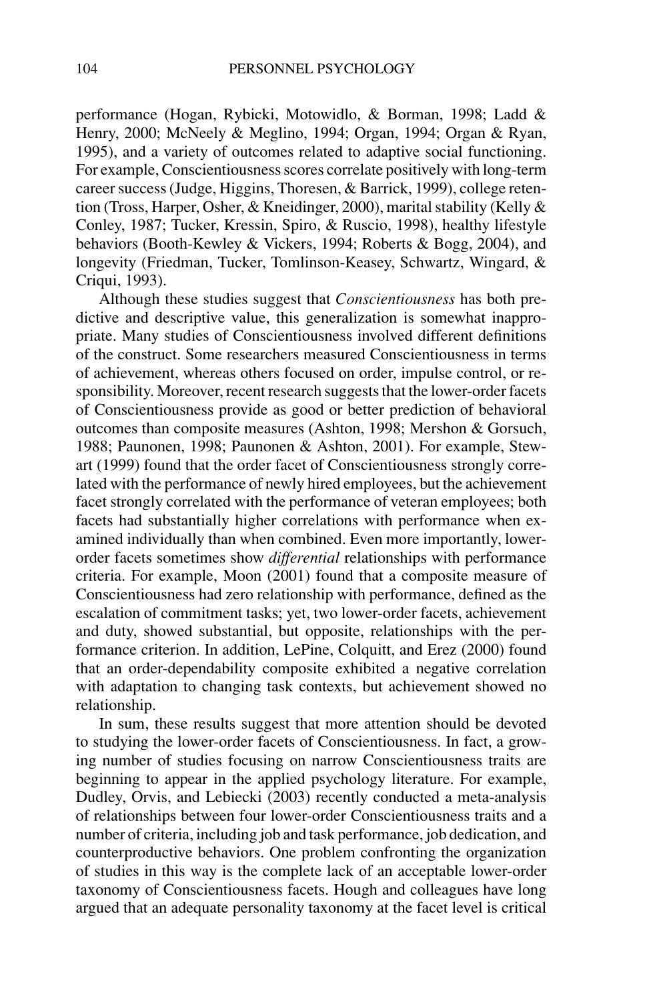performance (Hogan, Rybicki, Motowidlo, & Borman, 1998; Ladd & Henry, 2000; McNeely & Meglino, 1994; Organ, 1994; Organ & Ryan, 1995), and a variety of outcomes related to adaptive social functioning. For example, Conscientiousness scores correlate positively with long-term career success (Judge, Higgins, Thoresen, & Barrick, 1999), college retention (Tross, Harper, Osher, & Kneidinger, 2000), marital stability (Kelly & Conley, 1987; Tucker, Kressin, Spiro, & Ruscio, 1998), healthy lifestyle behaviors (Booth-Kewley & Vickers, 1994; Roberts & Bogg, 2004), and longevity (Friedman, Tucker, Tomlinson-Keasey, Schwartz, Wingard, & Criqui, 1993).

Although these studies suggest that *Conscientiousness* has both predictive and descriptive value, this generalization is somewhat inappropriate. Many studies of Conscientiousness involved different definitions of the construct. Some researchers measured Conscientiousness in terms of achievement, whereas others focused on order, impulse control, or responsibility. Moreover, recent research suggests that the lower-order facets of Conscientiousness provide as good or better prediction of behavioral outcomes than composite measures (Ashton, 1998; Mershon & Gorsuch, 1988; Paunonen, 1998; Paunonen & Ashton, 2001). For example, Stewart (1999) found that the order facet of Conscientiousness strongly correlated with the performance of newly hired employees, but the achievement facet strongly correlated with the performance of veteran employees; both facets had substantially higher correlations with performance when examined individually than when combined. Even more importantly, lowerorder facets sometimes show *differential* relationships with performance criteria. For example, Moon (2001) found that a composite measure of Conscientiousness had zero relationship with performance, defined as the escalation of commitment tasks; yet, two lower-order facets, achievement and duty, showed substantial, but opposite, relationships with the performance criterion. In addition, LePine, Colquitt, and Erez (2000) found that an order-dependability composite exhibited a negative correlation with adaptation to changing task contexts, but achievement showed no relationship.

In sum, these results suggest that more attention should be devoted to studying the lower-order facets of Conscientiousness. In fact, a growing number of studies focusing on narrow Conscientiousness traits are beginning to appear in the applied psychology literature. For example, Dudley, Orvis, and Lebiecki (2003) recently conducted a meta-analysis of relationships between four lower-order Conscientiousness traits and a number of criteria, including job and task performance, job dedication, and counterproductive behaviors. One problem confronting the organization of studies in this way is the complete lack of an acceptable lower-order taxonomy of Conscientiousness facets. Hough and colleagues have long argued that an adequate personality taxonomy at the facet level is critical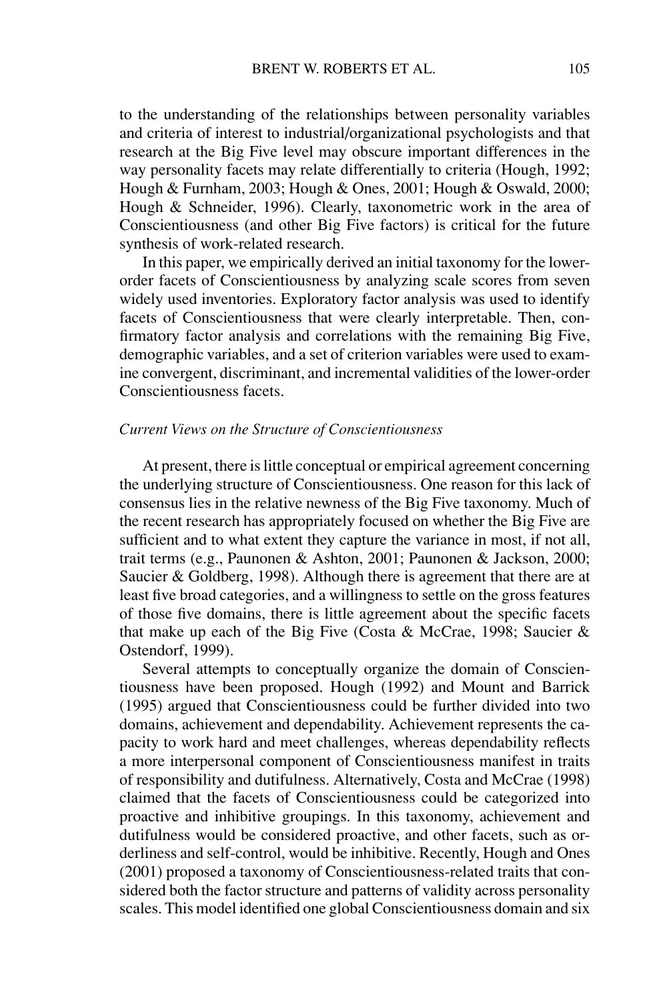to the understanding of the relationships between personality variables and criteria of interest to industrial/organizational psychologists and that research at the Big Five level may obscure important differences in the way personality facets may relate differentially to criteria (Hough, 1992; Hough & Furnham, 2003; Hough & Ones, 2001; Hough & Oswald, 2000; Hough & Schneider, 1996). Clearly, taxonometric work in the area of Conscientiousness (and other Big Five factors) is critical for the future synthesis of work-related research.

In this paper, we empirically derived an initial taxonomy for the lowerorder facets of Conscientiousness by analyzing scale scores from seven widely used inventories. Exploratory factor analysis was used to identify facets of Conscientiousness that were clearly interpretable. Then, confirmatory factor analysis and correlations with the remaining Big Five, demographic variables, and a set of criterion variables were used to examine convergent, discriminant, and incremental validities of the lower-order Conscientiousness facets.

## *Current Views on the Structure of Conscientiousness*

At present, there is little conceptual or empirical agreement concerning the underlying structure of Conscientiousness. One reason for this lack of consensus lies in the relative newness of the Big Five taxonomy. Much of the recent research has appropriately focused on whether the Big Five are sufficient and to what extent they capture the variance in most, if not all, trait terms (e.g., Paunonen & Ashton, 2001; Paunonen & Jackson, 2000; Saucier & Goldberg, 1998). Although there is agreement that there are at least five broad categories, and a willingness to settle on the gross features of those five domains, there is little agreement about the specific facets that make up each of the Big Five (Costa & McCrae, 1998; Saucier & Ostendorf, 1999).

Several attempts to conceptually organize the domain of Conscientiousness have been proposed. Hough (1992) and Mount and Barrick (1995) argued that Conscientiousness could be further divided into two domains, achievement and dependability. Achievement represents the capacity to work hard and meet challenges, whereas dependability reflects a more interpersonal component of Conscientiousness manifest in traits of responsibility and dutifulness. Alternatively, Costa and McCrae (1998) claimed that the facets of Conscientiousness could be categorized into proactive and inhibitive groupings. In this taxonomy, achievement and dutifulness would be considered proactive, and other facets, such as orderliness and self-control, would be inhibitive. Recently, Hough and Ones (2001) proposed a taxonomy of Conscientiousness-related traits that considered both the factor structure and patterns of validity across personality scales. This model identified one global Conscientiousness domain and six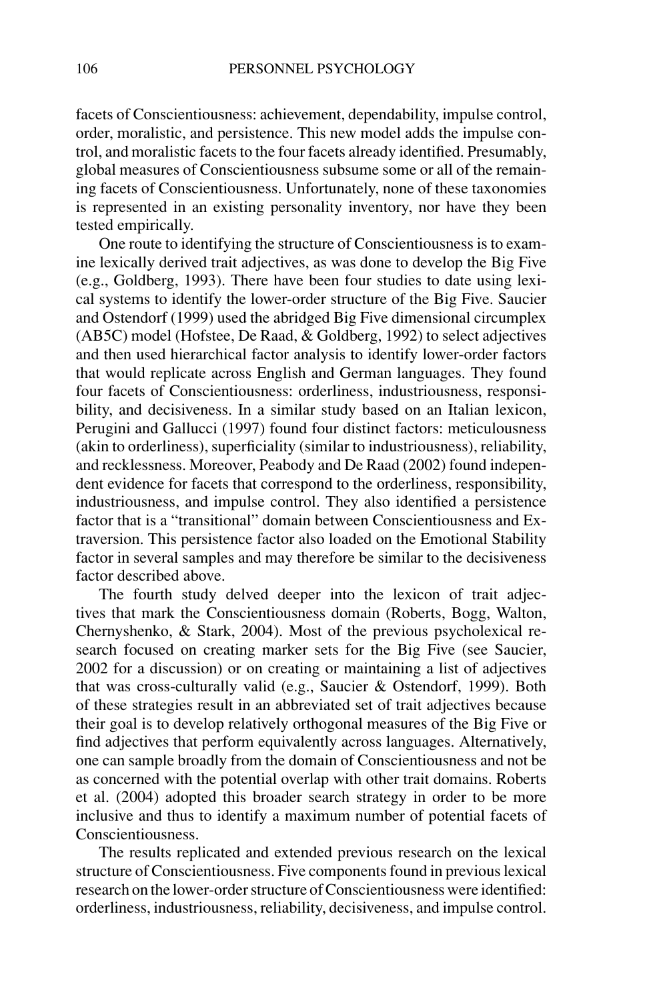facets of Conscientiousness: achievement, dependability, impulse control, order, moralistic, and persistence. This new model adds the impulse control, and moralistic facets to the four facets already identified. Presumably, global measures of Conscientiousness subsume some or all of the remaining facets of Conscientiousness. Unfortunately, none of these taxonomies is represented in an existing personality inventory, nor have they been tested empirically.

One route to identifying the structure of Conscientiousness is to examine lexically derived trait adjectives, as was done to develop the Big Five (e.g., Goldberg, 1993). There have been four studies to date using lexical systems to identify the lower-order structure of the Big Five. Saucier and Ostendorf (1999) used the abridged Big Five dimensional circumplex (AB5C) model (Hofstee, De Raad, & Goldberg, 1992) to select adjectives and then used hierarchical factor analysis to identify lower-order factors that would replicate across English and German languages. They found four facets of Conscientiousness: orderliness, industriousness, responsibility, and decisiveness. In a similar study based on an Italian lexicon, Perugini and Gallucci (1997) found four distinct factors: meticulousness (akin to orderliness), superficiality (similar to industriousness), reliability, and recklessness. Moreover, Peabody and De Raad (2002) found independent evidence for facets that correspond to the orderliness, responsibility, industriousness, and impulse control. They also identified a persistence factor that is a "transitional" domain between Conscientiousness and Extraversion. This persistence factor also loaded on the Emotional Stability factor in several samples and may therefore be similar to the decisiveness factor described above.

The fourth study delved deeper into the lexicon of trait adjectives that mark the Conscientiousness domain (Roberts, Bogg, Walton, Chernyshenko, & Stark, 2004). Most of the previous psycholexical research focused on creating marker sets for the Big Five (see Saucier, 2002 for a discussion) or on creating or maintaining a list of adjectives that was cross-culturally valid (e.g., Saucier & Ostendorf, 1999). Both of these strategies result in an abbreviated set of trait adjectives because their goal is to develop relatively orthogonal measures of the Big Five or find adjectives that perform equivalently across languages. Alternatively, one can sample broadly from the domain of Conscientiousness and not be as concerned with the potential overlap with other trait domains. Roberts et al. (2004) adopted this broader search strategy in order to be more inclusive and thus to identify a maximum number of potential facets of Conscientiousness.

The results replicated and extended previous research on the lexical structure of Conscientiousness. Five components found in previous lexical research on the lower-order structure of Conscientiousness were identified: orderliness, industriousness, reliability, decisiveness, and impulse control.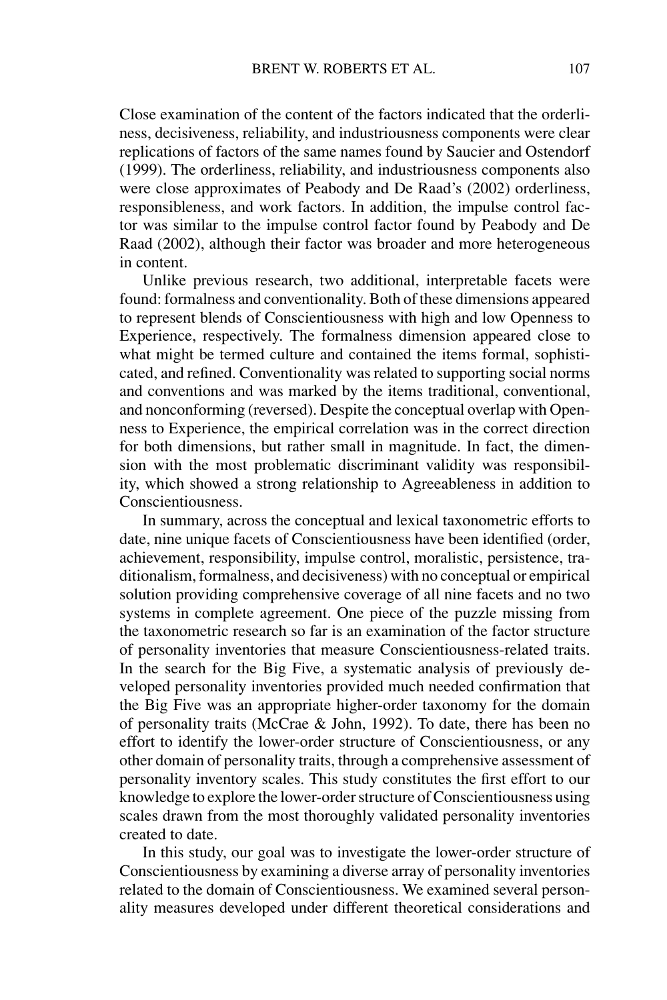Close examination of the content of the factors indicated that the orderliness, decisiveness, reliability, and industriousness components were clear replications of factors of the same names found by Saucier and Ostendorf (1999). The orderliness, reliability, and industriousness components also were close approximates of Peabody and De Raad's (2002) orderliness, responsibleness, and work factors. In addition, the impulse control factor was similar to the impulse control factor found by Peabody and De Raad (2002), although their factor was broader and more heterogeneous in content.

Unlike previous research, two additional, interpretable facets were found: formalness and conventionality. Both of these dimensions appeared to represent blends of Conscientiousness with high and low Openness to Experience, respectively. The formalness dimension appeared close to what might be termed culture and contained the items formal, sophisticated, and refined. Conventionality was related to supporting social norms and conventions and was marked by the items traditional, conventional, and nonconforming (reversed). Despite the conceptual overlap with Openness to Experience, the empirical correlation was in the correct direction for both dimensions, but rather small in magnitude. In fact, the dimension with the most problematic discriminant validity was responsibility, which showed a strong relationship to Agreeableness in addition to Conscientiousness.

In summary, across the conceptual and lexical taxonometric efforts to date, nine unique facets of Conscientiousness have been identified (order, achievement, responsibility, impulse control, moralistic, persistence, traditionalism, formalness, and decisiveness) with no conceptual or empirical solution providing comprehensive coverage of all nine facets and no two systems in complete agreement. One piece of the puzzle missing from the taxonometric research so far is an examination of the factor structure of personality inventories that measure Conscientiousness-related traits. In the search for the Big Five, a systematic analysis of previously developed personality inventories provided much needed confirmation that the Big Five was an appropriate higher-order taxonomy for the domain of personality traits (McCrae & John, 1992). To date, there has been no effort to identify the lower-order structure of Conscientiousness, or any other domain of personality traits, through a comprehensive assessment of personality inventory scales. This study constitutes the first effort to our knowledge to explore the lower-order structure of Conscientiousness using scales drawn from the most thoroughly validated personality inventories created to date.

In this study, our goal was to investigate the lower-order structure of Conscientiousness by examining a diverse array of personality inventories related to the domain of Conscientiousness. We examined several personality measures developed under different theoretical considerations and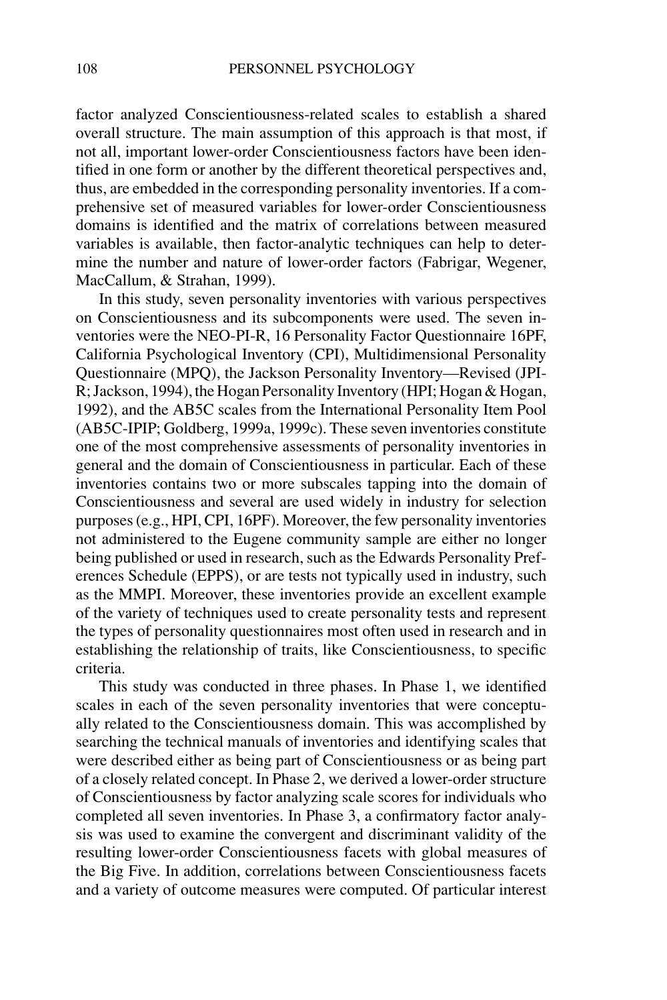factor analyzed Conscientiousness-related scales to establish a shared overall structure. The main assumption of this approach is that most, if not all, important lower-order Conscientiousness factors have been identified in one form or another by the different theoretical perspectives and, thus, are embedded in the corresponding personality inventories. If a comprehensive set of measured variables for lower-order Conscientiousness domains is identified and the matrix of correlations between measured variables is available, then factor-analytic techniques can help to determine the number and nature of lower-order factors (Fabrigar, Wegener, MacCallum, & Strahan, 1999).

In this study, seven personality inventories with various perspectives on Conscientiousness and its subcomponents were used. The seven inventories were the NEO-PI-R, 16 Personality Factor Questionnaire 16PF, California Psychological Inventory (CPI), Multidimensional Personality Questionnaire (MPQ), the Jackson Personality Inventory—Revised (JPI-R; Jackson, 1994), the Hogan Personality Inventory (HPI; Hogan & Hogan, 1992), and the AB5C scales from the International Personality Item Pool (AB5C-IPIP; Goldberg, 1999a, 1999c). These seven inventories constitute one of the most comprehensive assessments of personality inventories in general and the domain of Conscientiousness in particular. Each of these inventories contains two or more subscales tapping into the domain of Conscientiousness and several are used widely in industry for selection purposes (e.g., HPI, CPI, 16PF). Moreover, the few personality inventories not administered to the Eugene community sample are either no longer being published or used in research, such as the Edwards Personality Preferences Schedule (EPPS), or are tests not typically used in industry, such as the MMPI. Moreover, these inventories provide an excellent example of the variety of techniques used to create personality tests and represent the types of personality questionnaires most often used in research and in establishing the relationship of traits, like Conscientiousness, to specific criteria.

This study was conducted in three phases. In Phase 1, we identified scales in each of the seven personality inventories that were conceptually related to the Conscientiousness domain. This was accomplished by searching the technical manuals of inventories and identifying scales that were described either as being part of Conscientiousness or as being part of a closely related concept. In Phase 2, we derived a lower-order structure of Conscientiousness by factor analyzing scale scores for individuals who completed all seven inventories. In Phase 3, a confirmatory factor analysis was used to examine the convergent and discriminant validity of the resulting lower-order Conscientiousness facets with global measures of the Big Five. In addition, correlations between Conscientiousness facets and a variety of outcome measures were computed. Of particular interest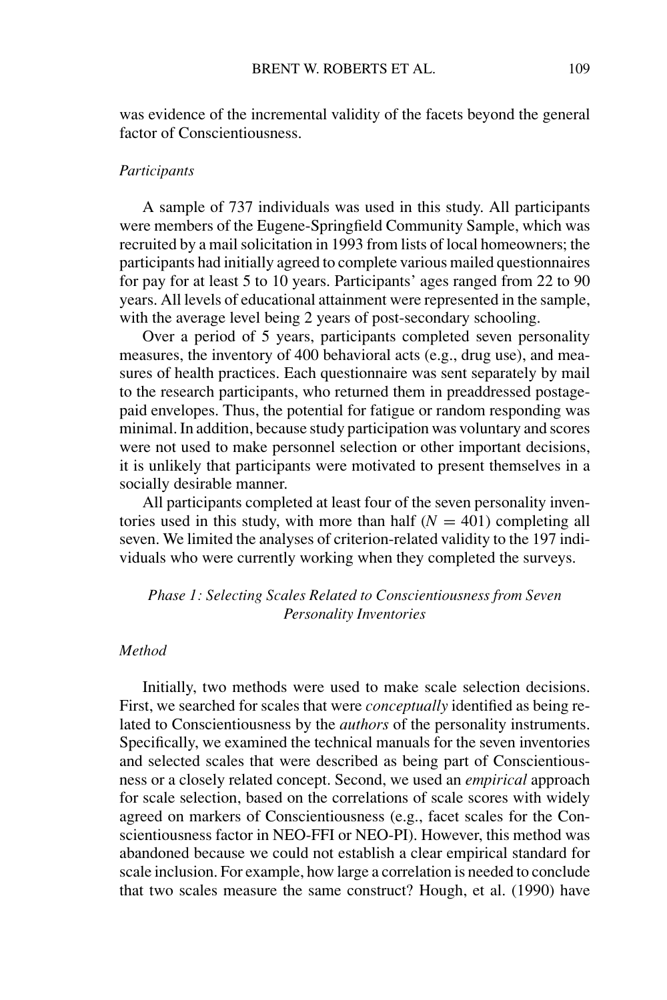was evidence of the incremental validity of the facets beyond the general factor of Conscientiousness.

#### *Participants*

A sample of 737 individuals was used in this study. All participants were members of the Eugene-Springfield Community Sample, which was recruited by a mail solicitation in 1993 from lists of local homeowners; the participants had initially agreed to complete various mailed questionnaires for pay for at least 5 to 10 years. Participants' ages ranged from 22 to 90 years. All levels of educational attainment were represented in the sample, with the average level being 2 years of post-secondary schooling.

Over a period of 5 years, participants completed seven personality measures, the inventory of 400 behavioral acts (e.g., drug use), and measures of health practices. Each questionnaire was sent separately by mail to the research participants, who returned them in preaddressed postagepaid envelopes. Thus, the potential for fatigue or random responding was minimal. In addition, because study participation was voluntary and scores were not used to make personnel selection or other important decisions, it is unlikely that participants were motivated to present themselves in a socially desirable manner.

All participants completed at least four of the seven personality inventories used in this study, with more than half  $(N = 401)$  completing all seven. We limited the analyses of criterion-related validity to the 197 individuals who were currently working when they completed the surveys.

# *Phase 1: Selecting Scales Related to Conscientiousness from Seven Personality Inventories*

#### *Method*

Initially, two methods were used to make scale selection decisions. First, we searched for scales that were *conceptually* identified as being related to Conscientiousness by the *authors* of the personality instruments. Specifically, we examined the technical manuals for the seven inventories and selected scales that were described as being part of Conscientiousness or a closely related concept. Second, we used an *empirical* approach for scale selection, based on the correlations of scale scores with widely agreed on markers of Conscientiousness (e.g., facet scales for the Conscientiousness factor in NEO-FFI or NEO-PI). However, this method was abandoned because we could not establish a clear empirical standard for scale inclusion. For example, how large a correlation is needed to conclude that two scales measure the same construct? Hough, et al. (1990) have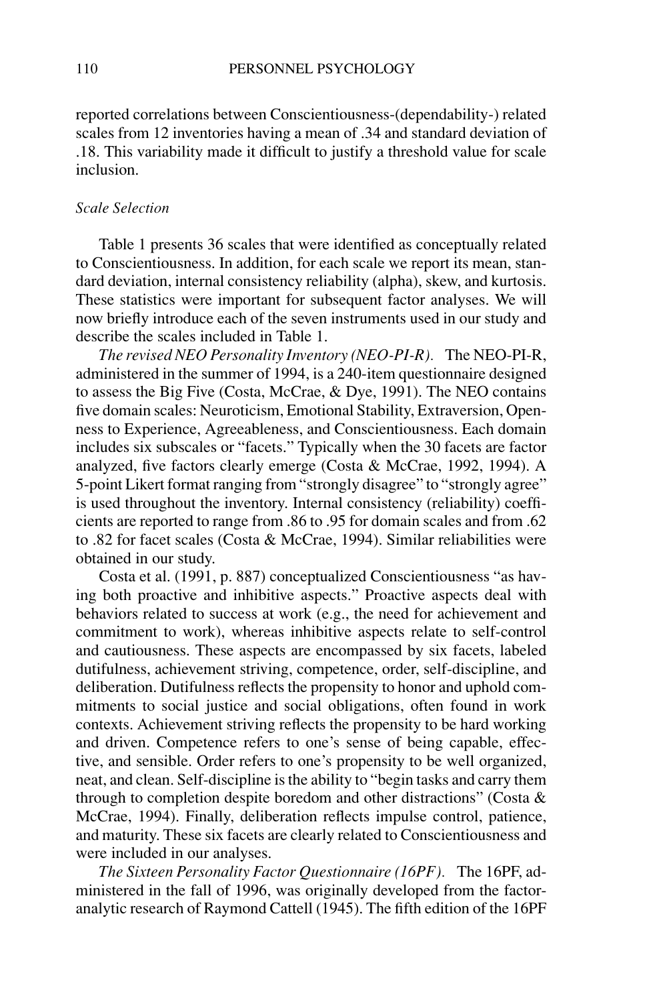reported correlations between Conscientiousness-(dependability-) related scales from 12 inventories having a mean of .34 and standard deviation of .18. This variability made it difficult to justify a threshold value for scale inclusion.

## *Scale Selection*

Table 1 presents 36 scales that were identified as conceptually related to Conscientiousness. In addition, for each scale we report its mean, standard deviation, internal consistency reliability (alpha), skew, and kurtosis. These statistics were important for subsequent factor analyses. We will now briefly introduce each of the seven instruments used in our study and describe the scales included in Table 1.

*The revised NEO Personality Inventory (NEO-PI-R).* The NEO-PI-R, administered in the summer of 1994, is a 240-item questionnaire designed to assess the Big Five (Costa, McCrae, & Dye, 1991). The NEO contains five domain scales: Neuroticism, Emotional Stability, Extraversion, Openness to Experience, Agreeableness, and Conscientiousness. Each domain includes six subscales or "facets." Typically when the 30 facets are factor analyzed, five factors clearly emerge (Costa & McCrae, 1992, 1994). A 5-point Likert format ranging from "strongly disagree" to "strongly agree" is used throughout the inventory. Internal consistency (reliability) coefficients are reported to range from .86 to .95 for domain scales and from .62 to .82 for facet scales (Costa & McCrae, 1994). Similar reliabilities were obtained in our study.

Costa et al. (1991, p. 887) conceptualized Conscientiousness "as having both proactive and inhibitive aspects." Proactive aspects deal with behaviors related to success at work (e.g., the need for achievement and commitment to work), whereas inhibitive aspects relate to self-control and cautiousness. These aspects are encompassed by six facets, labeled dutifulness, achievement striving, competence, order, self-discipline, and deliberation. Dutifulness reflects the propensity to honor and uphold commitments to social justice and social obligations, often found in work contexts. Achievement striving reflects the propensity to be hard working and driven. Competence refers to one's sense of being capable, effective, and sensible. Order refers to one's propensity to be well organized, neat, and clean. Self-discipline is the ability to "begin tasks and carry them through to completion despite boredom and other distractions" (Costa & McCrae, 1994). Finally, deliberation reflects impulse control, patience, and maturity. These six facets are clearly related to Conscientiousness and were included in our analyses.

*The Sixteen Personality Factor Questionnaire (16PF).* The 16PF, administered in the fall of 1996, was originally developed from the factoranalytic research of Raymond Cattell (1945). The fifth edition of the 16PF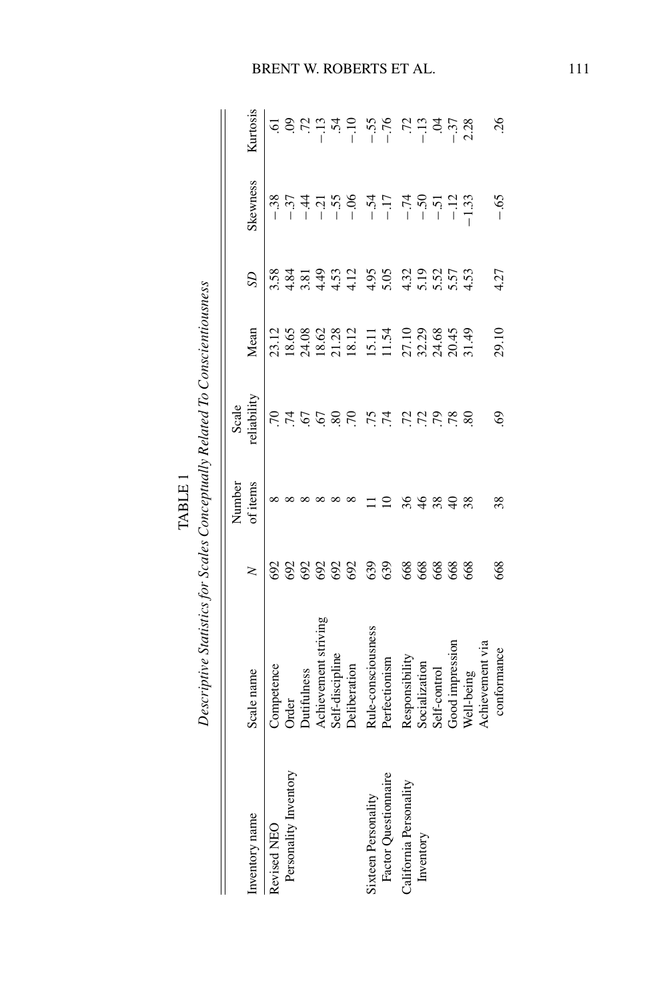| TABLE <sup>1</sup> | 1<br>J,<br>J<br>بہراہ<br>ĺ<br>.<br>.<br>.<br>$\frac{1}{2}$<br>ì<br>Ì |
|--------------------|----------------------------------------------------------------------|
|--------------------|----------------------------------------------------------------------|

|                        | Descriptive Statistics for Scales Conceptually Related To Conscientiousness |        |               |             |                                 |                     |          |               |
|------------------------|-----------------------------------------------------------------------------|--------|---------------|-------------|---------------------------------|---------------------|----------|---------------|
|                        |                                                                             |        | Number        | Scale       |                                 |                     |          |               |
| nventory name          | Scale name                                                                  | $\geq$ | of items      | reliability | Mean                            | SD                  | Skewness | Kurtosis      |
| Revised NEO            | Competence                                                                  | 692    |               |             | 23.12                           | 3.58                | $-38$    | ς.            |
| Personality Inventory  | <b>Order</b>                                                                | 592    |               | $\vec{z}$   | 18.65                           | 4.84                | $-37$    |               |
|                        | <b>Dutifulness</b>                                                          | 692    |               | 57          | 24.08<br>18.62                  | 3.81                | $-4$     |               |
|                        | Achievement striving                                                        | 692    |               |             |                                 | 4.49                | - 21<br> | $-13$         |
|                        | Self-discipline                                                             | 692    |               | 80          | 21.28                           | 4.53                | $-55$    | $\dot{5}$     |
|                        | Deliberation                                                                | 692    |               | S.          |                                 | 4.12                | $-0.6$   | $\frac{1}{1}$ |
| Sixteen Personality    | Rule-consciousness                                                          | 639    |               | .75         | 15.11                           | 4.95                | $-54$    | $-55$         |
| Factor Questionnaire   | Perfectionism                                                               | 639    |               | .74         | 11.54                           | 5.05                | $-17$    | $-76$         |
| California Personality | Responsibility                                                              | 668    |               | 72          |                                 |                     | $-74$    | 72.           |
| Inventory              | Socialization                                                               | 668    | $\frac{4}{6}$ | 72          |                                 | $\frac{4.32}{5.19}$ | $-50$    | -13           |
|                        | Self-control                                                                | 668    | 38            | .79         |                                 | 5.52                | $-51$    | Ş             |
|                        | Good impression                                                             | 668    | $\Theta$      | .78         | 27.10<br>32.28<br>24.5<br>20.45 | 5.57<br>4.53        | $-1.33$  | $-37$<br>2.28 |
|                        | Well-being                                                                  | 668    | 38            | 80          |                                 |                     |          |               |
|                        | Achievement via                                                             |        |               |             |                                 |                     |          |               |
|                        | conformance                                                                 | 668    | 38            | \$9.        | 29.10                           | 4.27                | $-65$    | 26            |

# BRENT W. ROBERTS ET AL. 111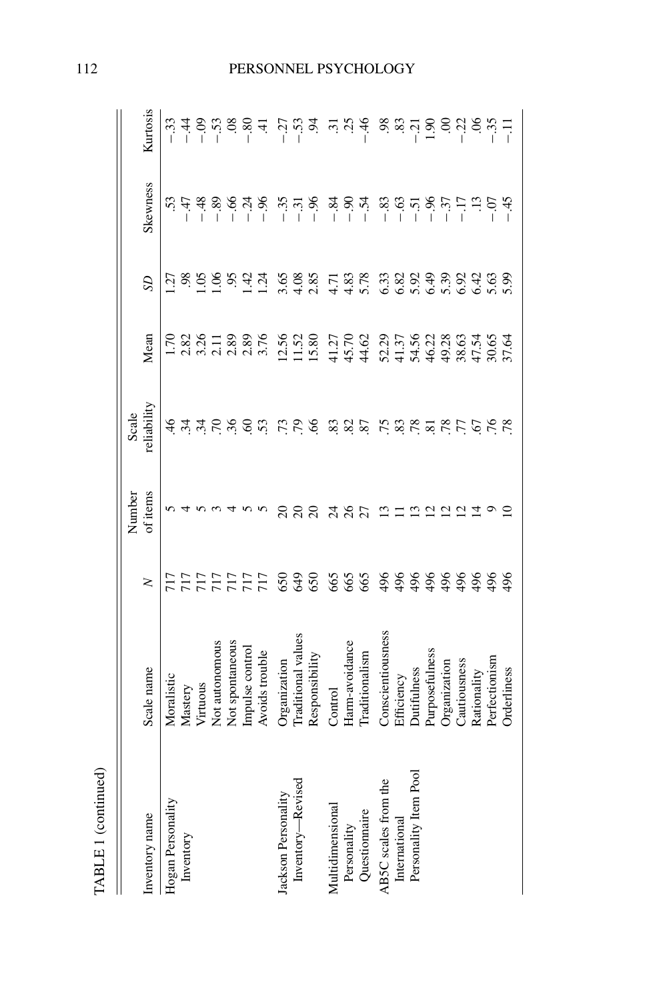|                       |                     |                 | Number   | Scale           |                                              |                        |              |          |
|-----------------------|---------------------|-----------------|----------|-----------------|----------------------------------------------|------------------------|--------------|----------|
| Inventory name        | Scale name          | $\geq$          | of items | reliability     | Mean                                         | $\mathcal{S}$          | Skewness     | Kurtosis |
| Hogan Personality     | Moralistic          |                 |          | $\frac{4}{6}$   | DC.I                                         | Ċ                      | 53           | $-33$    |
| Inventory             | Mastery             | 717             |          | 34              | 2.82                                         | 98.                    | $-47$        | $-44$    |
|                       | Virtuous            | 717             |          |                 | 3.26                                         | S.                     | $-48$        |          |
|                       | Not autonomous      | 717<br>717      |          | 3.58            | 2.11                                         | $\widetilde{5}$        | $-89$        | $-0.59$  |
|                       | Not spontaneous     |                 |          |                 | 2.89                                         | 95                     | $-66$        | 08       |
|                       | Impulse control     | 717             |          | $\mathcal{S}$   | 2.89                                         | $\overline{142}$       |              | $-80$    |
|                       | Avoids trouble      | 717             |          | 53              | 3.76                                         | $\overline{24}$        | $-36$        | Ë        |
| Jackson Personality   | Organization        | 550             |          | .73             | 12.56                                        | 3.65                   | $-35$        | $-27$    |
| Inventory-Revised     | Traditional values  | $\frac{349}{5}$ | $\Omega$ | 59              | 11.52                                        | 4.08                   | $-31$        | $-53$    |
|                       | Responsibility      | 650             | $\Omega$ | $\mathcal{S}$   | 15.80                                        | 2.85                   | $-96$        | 54       |
| Multidimensional      | Control             | 565             | ≭        | 83              |                                              | 4.71                   | $-84$        |          |
| Personality           | Harm-avoidance      | 565             | న        | 82              | 41.27<br>45.70<br>44.62                      | 4.83                   | $-90$        | 25       |
| Questionnaire         | Traditionalism      | 665             | 27       | 87              |                                              | 5.78                   | $-54$        | $-46$    |
| AB5C scales from the  | Conscientiousness   | 496             |          | 75              | 52.29<br>41.37<br>54.56<br>49.93.63<br>47.54 | 6.33                   | $-83$        | 98       |
| International         | Efficiency          | 496             |          | 878             |                                              |                        | $-0.63$      | 83       |
| Personality Item Pool | Dutifulness         | 496             |          |                 |                                              |                        | $-51$        | $-21$    |
|                       | Purposefulness      | 496             |          |                 |                                              |                        | $-96$        | 06.1     |
|                       | <b>Organization</b> | 496             |          | $\frac{77}{78}$ |                                              | 828338463<br>666666666 | $-37$<br>-17 | S.       |
|                       | Cautiousness        | 496             |          |                 |                                              |                        |              | $-22$    |
|                       | Rationality         | 496             |          |                 |                                              |                        | $\ddot{1}$   | ĕ.       |
|                       | Perfectionism       | 496             |          | 57.8            | 30.65<br>37.64                               |                        | $-0.7$       | $-35$    |
|                       | Orderliness         | 496             |          |                 |                                              |                        | $-45$        | 류        |

TABLE 1 (continued)

TABLE 1 (continued)

# 112 PERSONNEL PSYCHOLOGY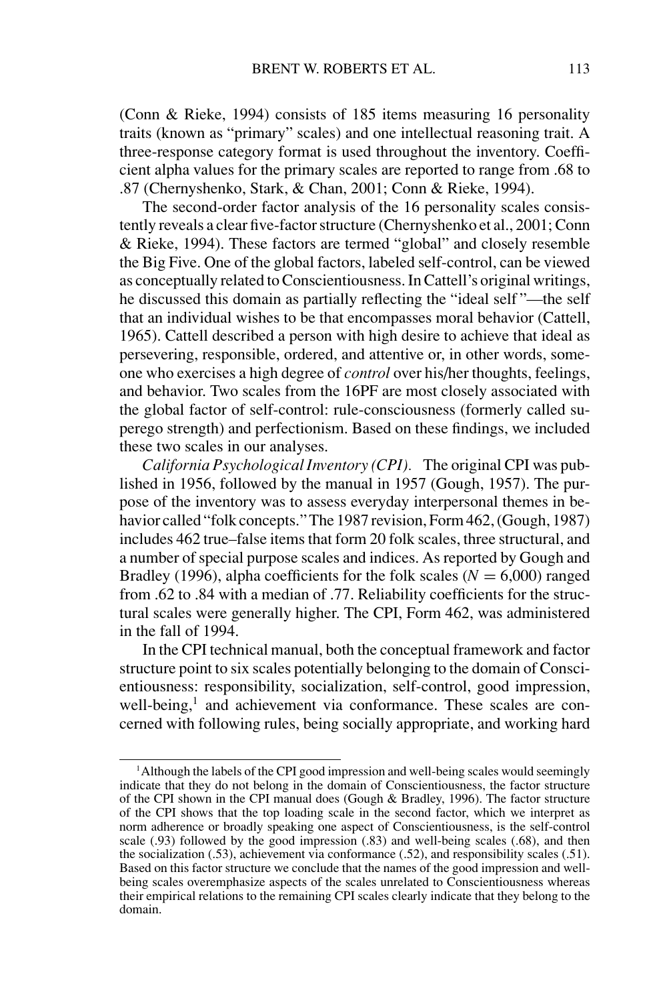(Conn & Rieke, 1994) consists of 185 items measuring 16 personality traits (known as "primary" scales) and one intellectual reasoning trait. A three-response category format is used throughout the inventory. Coefficient alpha values for the primary scales are reported to range from .68 to .87 (Chernyshenko, Stark, & Chan, 2001; Conn & Rieke, 1994).

The second-order factor analysis of the 16 personality scales consistently reveals a clear five-factor structure (Chernyshenko et al., 2001; Conn & Rieke, 1994). These factors are termed "global" and closely resemble the Big Five. One of the global factors, labeled self-control, can be viewed as conceptually related to Conscientiousness. In Cattell's original writings, he discussed this domain as partially reflecting the "ideal self "—the self that an individual wishes to be that encompasses moral behavior (Cattell, 1965). Cattell described a person with high desire to achieve that ideal as persevering, responsible, ordered, and attentive or, in other words, someone who exercises a high degree of *control* over his/her thoughts, feelings, and behavior. Two scales from the 16PF are most closely associated with the global factor of self-control: rule-consciousness (formerly called superego strength) and perfectionism. Based on these findings, we included these two scales in our analyses.

*California Psychological Inventory (CPI).* The original CPI was published in 1956, followed by the manual in 1957 (Gough, 1957). The purpose of the inventory was to assess everyday interpersonal themes in behavior called "folk concepts." The 1987 revision, Form 462, (Gough, 1987) includes 462 true–false items that form 20 folk scales, three structural, and a number of special purpose scales and indices. As reported by Gough and Bradley (1996), alpha coefficients for the folk scales ( $N = 6,000$ ) ranged from .62 to .84 with a median of .77. Reliability coefficients for the structural scales were generally higher. The CPI, Form 462, was administered in the fall of 1994.

In the CPI technical manual, both the conceptual framework and factor structure point to six scales potentially belonging to the domain of Conscientiousness: responsibility, socialization, self-control, good impression, well-being, $<sup>1</sup>$  and achievement via conformance. These scales are con-</sup> cerned with following rules, being socially appropriate, and working hard

<sup>&</sup>lt;sup>1</sup> Although the labels of the CPI good impression and well-being scales would seemingly indicate that they do not belong in the domain of Conscientiousness, the factor structure of the CPI shown in the CPI manual does (Gough & Bradley, 1996). The factor structure of the CPI shows that the top loading scale in the second factor, which we interpret as norm adherence or broadly speaking one aspect of Conscientiousness, is the self-control scale (.93) followed by the good impression (.83) and well-being scales (.68), and then the socialization (.53), achievement via conformance (.52), and responsibility scales (.51). Based on this factor structure we conclude that the names of the good impression and wellbeing scales overemphasize aspects of the scales unrelated to Conscientiousness whereas their empirical relations to the remaining CPI scales clearly indicate that they belong to the domain.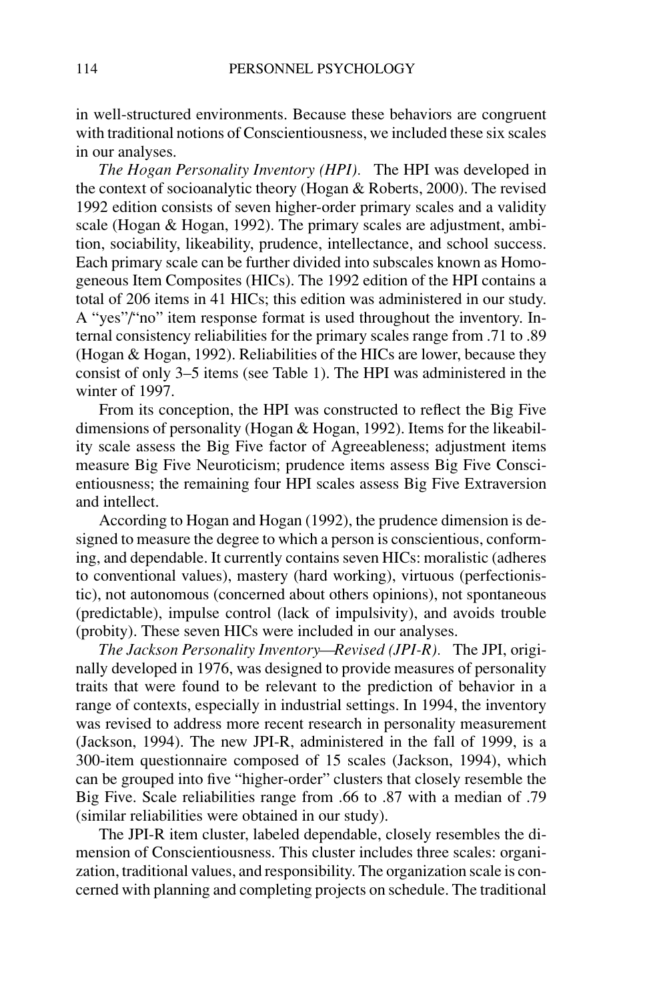in well-structured environments. Because these behaviors are congruent with traditional notions of Conscientiousness, we included these six scales in our analyses.

*The Hogan Personality Inventory (HPI).* The HPI was developed in the context of socioanalytic theory (Hogan & Roberts, 2000). The revised 1992 edition consists of seven higher-order primary scales and a validity scale (Hogan & Hogan, 1992). The primary scales are adjustment, ambition, sociability, likeability, prudence, intellectance, and school success. Each primary scale can be further divided into subscales known as Homogeneous Item Composites (HICs). The 1992 edition of the HPI contains a total of 206 items in 41 HICs; this edition was administered in our study. A "yes"/"no" item response format is used throughout the inventory. Internal consistency reliabilities for the primary scales range from .71 to .89 (Hogan & Hogan, 1992). Reliabilities of the HICs are lower, because they consist of only 3–5 items (see Table 1). The HPI was administered in the winter of 1997.

From its conception, the HPI was constructed to reflect the Big Five dimensions of personality (Hogan & Hogan, 1992). Items for the likeability scale assess the Big Five factor of Agreeableness; adjustment items measure Big Five Neuroticism; prudence items assess Big Five Conscientiousness; the remaining four HPI scales assess Big Five Extraversion and intellect.

According to Hogan and Hogan (1992), the prudence dimension is designed to measure the degree to which a person is conscientious, conforming, and dependable. It currently contains seven HICs: moralistic (adheres to conventional values), mastery (hard working), virtuous (perfectionistic), not autonomous (concerned about others opinions), not spontaneous (predictable), impulse control (lack of impulsivity), and avoids trouble (probity). These seven HICs were included in our analyses.

*The Jackson Personality Inventory—Revised (JPI-R).* The JPI, originally developed in 1976, was designed to provide measures of personality traits that were found to be relevant to the prediction of behavior in a range of contexts, especially in industrial settings. In 1994, the inventory was revised to address more recent research in personality measurement (Jackson, 1994). The new JPI-R, administered in the fall of 1999, is a 300-item questionnaire composed of 15 scales (Jackson, 1994), which can be grouped into five "higher-order" clusters that closely resemble the Big Five. Scale reliabilities range from .66 to .87 with a median of .79 (similar reliabilities were obtained in our study).

The JPI-R item cluster, labeled dependable, closely resembles the dimension of Conscientiousness. This cluster includes three scales: organization, traditional values, and responsibility. The organization scale is concerned with planning and completing projects on schedule. The traditional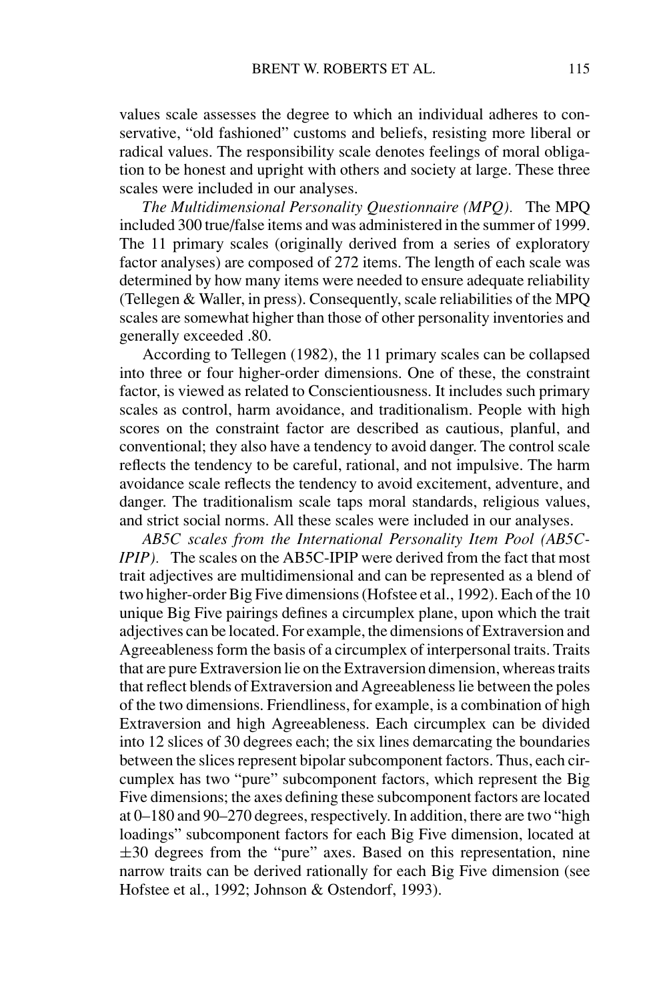values scale assesses the degree to which an individual adheres to conservative, "old fashioned" customs and beliefs, resisting more liberal or radical values. The responsibility scale denotes feelings of moral obligation to be honest and upright with others and society at large. These three scales were included in our analyses.

*The Multidimensional Personality Questionnaire (MPQ).* The MPQ included 300 true/false items and was administered in the summer of 1999. The 11 primary scales (originally derived from a series of exploratory factor analyses) are composed of 272 items. The length of each scale was determined by how many items were needed to ensure adequate reliability (Tellegen & Waller, in press). Consequently, scale reliabilities of the MPQ scales are somewhat higher than those of other personality inventories and generally exceeded .80.

According to Tellegen (1982), the 11 primary scales can be collapsed into three or four higher-order dimensions. One of these, the constraint factor, is viewed as related to Conscientiousness. It includes such primary scales as control, harm avoidance, and traditionalism. People with high scores on the constraint factor are described as cautious, planful, and conventional; they also have a tendency to avoid danger. The control scale reflects the tendency to be careful, rational, and not impulsive. The harm avoidance scale reflects the tendency to avoid excitement, adventure, and danger. The traditionalism scale taps moral standards, religious values, and strict social norms. All these scales were included in our analyses.

*AB5C scales from the International Personality Item Pool (AB5C-IPIP*). The scales on the AB5C-IPIP were derived from the fact that most trait adjectives are multidimensional and can be represented as a blend of two higher-order Big Five dimensions (Hofstee et al., 1992). Each of the 10 unique Big Five pairings defines a circumplex plane, upon which the trait adjectives can be located. For example, the dimensions of Extraversion and Agreeableness form the basis of a circumplex of interpersonal traits. Traits that are pure Extraversion lie on the Extraversion dimension, whereas traits that reflect blends of Extraversion and Agreeableness lie between the poles of the two dimensions. Friendliness, for example, is a combination of high Extraversion and high Agreeableness. Each circumplex can be divided into 12 slices of 30 degrees each; the six lines demarcating the boundaries between the slices represent bipolar subcomponent factors. Thus, each circumplex has two "pure" subcomponent factors, which represent the Big Five dimensions; the axes defining these subcomponent factors are located at 0–180 and 90–270 degrees, respectively. In addition, there are two "high loadings" subcomponent factors for each Big Five dimension, located at ±30 degrees from the "pure" axes. Based on this representation, nine narrow traits can be derived rationally for each Big Five dimension (see Hofstee et al., 1992; Johnson & Ostendorf, 1993).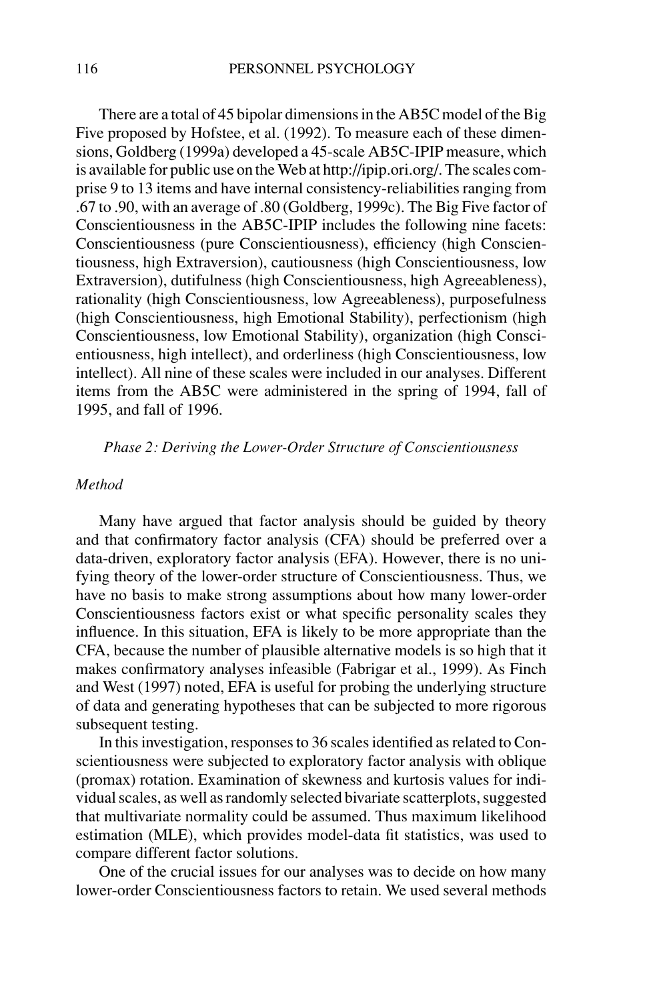There are a total of 45 bipolar dimensions in the AB5C model of the Big Five proposed by Hofstee, et al. (1992). To measure each of these dimensions, Goldberg (1999a) developed a 45-scale AB5C-IPIP measure, which is available for public use on the Web at http://ipip.ori.org/. The scales comprise 9 to 13 items and have internal consistency-reliabilities ranging from .67 to .90, with an average of .80 (Goldberg, 1999c). The Big Five factor of Conscientiousness in the AB5C-IPIP includes the following nine facets: Conscientiousness (pure Conscientiousness), efficiency (high Conscientiousness, high Extraversion), cautiousness (high Conscientiousness, low Extraversion), dutifulness (high Conscientiousness, high Agreeableness), rationality (high Conscientiousness, low Agreeableness), purposefulness (high Conscientiousness, high Emotional Stability), perfectionism (high Conscientiousness, low Emotional Stability), organization (high Conscientiousness, high intellect), and orderliness (high Conscientiousness, low intellect). All nine of these scales were included in our analyses. Different items from the AB5C were administered in the spring of 1994, fall of 1995, and fall of 1996.

#### *Phase 2: Deriving the Lower-Order Structure of Conscientiousness*

#### *Method*

Many have argued that factor analysis should be guided by theory and that confirmatory factor analysis (CFA) should be preferred over a data-driven, exploratory factor analysis (EFA). However, there is no unifying theory of the lower-order structure of Conscientiousness. Thus, we have no basis to make strong assumptions about how many lower-order Conscientiousness factors exist or what specific personality scales they influence. In this situation, EFA is likely to be more appropriate than the CFA, because the number of plausible alternative models is so high that it makes confirmatory analyses infeasible (Fabrigar et al., 1999). As Finch and West (1997) noted, EFA is useful for probing the underlying structure of data and generating hypotheses that can be subjected to more rigorous subsequent testing.

In this investigation, responses to 36 scales identified as related to Conscientiousness were subjected to exploratory factor analysis with oblique (promax) rotation. Examination of skewness and kurtosis values for individual scales, as well as randomly selected bivariate scatterplots, suggested that multivariate normality could be assumed. Thus maximum likelihood estimation (MLE), which provides model-data fit statistics, was used to compare different factor solutions.

One of the crucial issues for our analyses was to decide on how many lower-order Conscientiousness factors to retain. We used several methods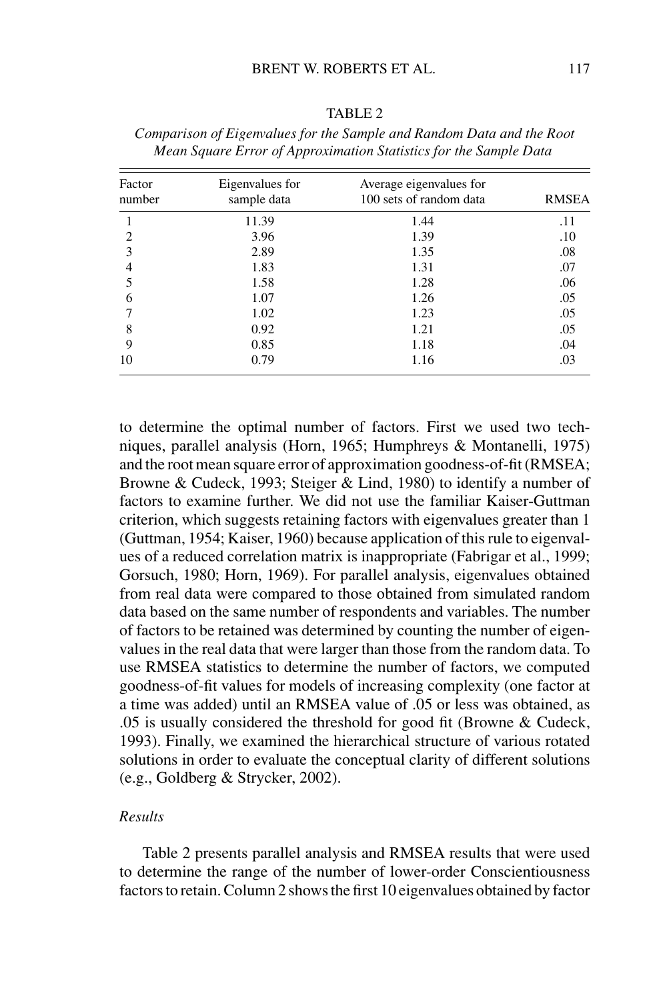| `A BI |  |
|-------|--|
|-------|--|

| Factor<br>number | Eigenvalues for<br>sample data | Average eigenvalues for<br>100 sets of random data | <b>RMSEA</b> |
|------------------|--------------------------------|----------------------------------------------------|--------------|
|                  | 11.39                          | 1.44                                               | .11          |
|                  | 3.96                           | 1.39                                               | .10          |
| 3                | 2.89                           | 1.35                                               | .08          |
|                  | 1.83                           | 1.31                                               | .07          |
|                  | 1.58                           | 1.28                                               | .06          |
| 6                | 1.07                           | 1.26                                               | .05          |
|                  | 1.02                           | 1.23                                               | .05          |
| 8                | 0.92                           | 1.21                                               | .05          |
| 9                | 0.85                           | 1.18                                               | .04          |
| 10               | 0.79                           | 1.16                                               | .03          |

*Comparison of Eigenvalues for the Sample and Random Data and the Root Mean Square Error of Approximation Statistics for the Sample Data*

to determine the optimal number of factors. First we used two techniques, parallel analysis (Horn, 1965; Humphreys & Montanelli, 1975) and the root mean square error of approximation goodness-of-fit (RMSEA; Browne & Cudeck, 1993; Steiger & Lind, 1980) to identify a number of factors to examine further. We did not use the familiar Kaiser-Guttman criterion, which suggests retaining factors with eigenvalues greater than 1 (Guttman, 1954; Kaiser, 1960) because application of this rule to eigenvalues of a reduced correlation matrix is inappropriate (Fabrigar et al., 1999; Gorsuch, 1980; Horn, 1969). For parallel analysis, eigenvalues obtained from real data were compared to those obtained from simulated random data based on the same number of respondents and variables. The number of factors to be retained was determined by counting the number of eigenvalues in the real data that were larger than those from the random data. To use RMSEA statistics to determine the number of factors, we computed goodness-of-fit values for models of increasing complexity (one factor at a time was added) until an RMSEA value of .05 or less was obtained, as .05 is usually considered the threshold for good fit (Browne & Cudeck, 1993). Finally, we examined the hierarchical structure of various rotated solutions in order to evaluate the conceptual clarity of different solutions (e.g., Goldberg & Strycker, 2002).

# *Results*

Table 2 presents parallel analysis and RMSEA results that were used to determine the range of the number of lower-order Conscientiousness factors to retain. Column 2 shows the first 10 eigenvalues obtained by factor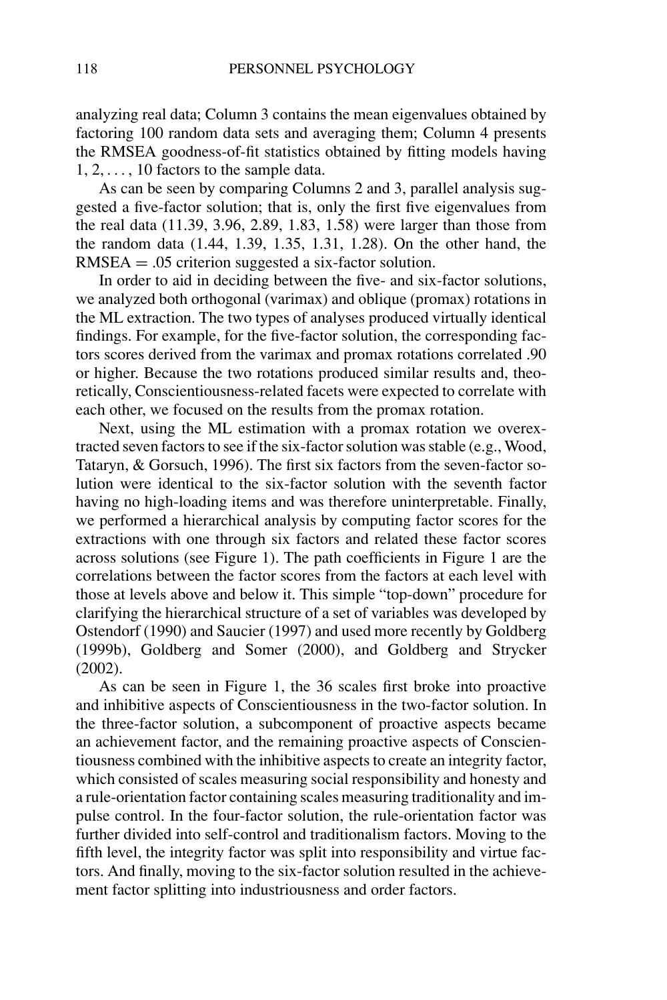analyzing real data; Column 3 contains the mean eigenvalues obtained by factoring 100 random data sets and averaging them; Column 4 presents the RMSEA goodness-of-fit statistics obtained by fitting models having  $1, 2, \ldots, 10$  factors to the sample data.

As can be seen by comparing Columns 2 and 3, parallel analysis suggested a five-factor solution; that is, only the first five eigenvalues from the real data (11.39, 3.96, 2.89, 1.83, 1.58) were larger than those from the random data (1.44, 1.39, 1.35, 1.31, 1.28). On the other hand, the  $RMSEA = .05$  criterion suggested a six-factor solution.

In order to aid in deciding between the five- and six-factor solutions, we analyzed both orthogonal (varimax) and oblique (promax) rotations in the ML extraction. The two types of analyses produced virtually identical findings. For example, for the five-factor solution, the corresponding factors scores derived from the varimax and promax rotations correlated .90 or higher. Because the two rotations produced similar results and, theoretically, Conscientiousness-related facets were expected to correlate with each other, we focused on the results from the promax rotation.

Next, using the ML estimation with a promax rotation we overextracted seven factors to see if the six-factor solution was stable (e.g., Wood, Tataryn, & Gorsuch, 1996). The first six factors from the seven-factor solution were identical to the six-factor solution with the seventh factor having no high-loading items and was therefore uninterpretable. Finally, we performed a hierarchical analysis by computing factor scores for the extractions with one through six factors and related these factor scores across solutions (see Figure 1). The path coefficients in Figure 1 are the correlations between the factor scores from the factors at each level with those at levels above and below it. This simple "top-down" procedure for clarifying the hierarchical structure of a set of variables was developed by Ostendorf (1990) and Saucier (1997) and used more recently by Goldberg (1999b), Goldberg and Somer (2000), and Goldberg and Strycker (2002).

As can be seen in Figure 1, the 36 scales first broke into proactive and inhibitive aspects of Conscientiousness in the two-factor solution. In the three-factor solution, a subcomponent of proactive aspects became an achievement factor, and the remaining proactive aspects of Conscientiousness combined with the inhibitive aspects to create an integrity factor, which consisted of scales measuring social responsibility and honesty and a rule-orientation factor containing scales measuring traditionality and impulse control. In the four-factor solution, the rule-orientation factor was further divided into self-control and traditionalism factors. Moving to the fifth level, the integrity factor was split into responsibility and virtue factors. And finally, moving to the six-factor solution resulted in the achievement factor splitting into industriousness and order factors.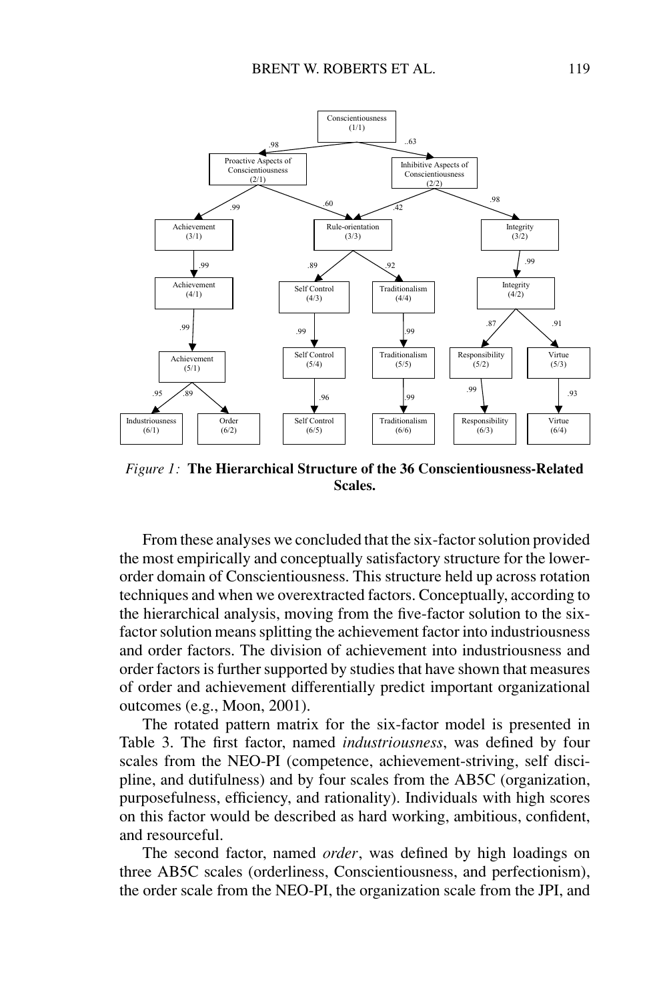

*Figure 1:* **The Hierarchical Structure of the 36 Conscientiousness-Related Scales.**

From these analyses we concluded that the six-factor solution provided the most empirically and conceptually satisfactory structure for the lowerorder domain of Conscientiousness. This structure held up across rotation techniques and when we overextracted factors. Conceptually, according to the hierarchical analysis, moving from the five-factor solution to the sixfactor solution means splitting the achievement factor into industriousness and order factors. The division of achievement into industriousness and order factors is further supported by studies that have shown that measures of order and achievement differentially predict important organizational outcomes (e.g., Moon, 2001).

The rotated pattern matrix for the six-factor model is presented in Table 3. The first factor, named *industriousness*, was defined by four scales from the NEO-PI (competence, achievement-striving, self discipline, and dutifulness) and by four scales from the AB5C (organization, purposefulness, efficiency, and rationality). Individuals with high scores on this factor would be described as hard working, ambitious, confident, and resourceful.

The second factor, named *order*, was defined by high loadings on three AB5C scales (orderliness, Conscientiousness, and perfectionism), the order scale from the NEO-PI, the organization scale from the JPI, and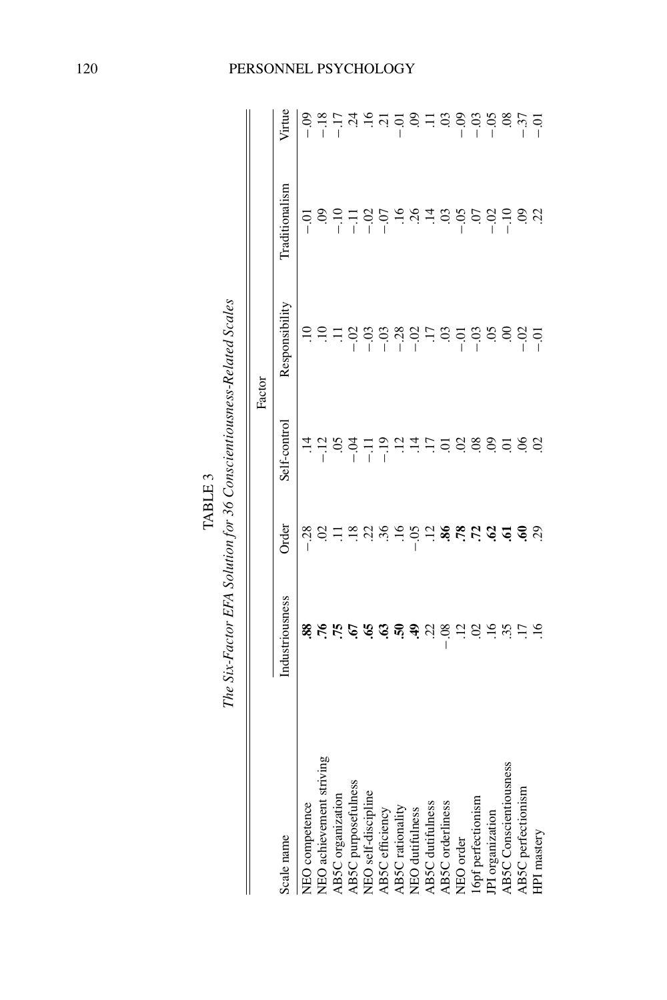| r       |  |
|---------|--|
| U<br>L. |  |
|         |  |
| ≃       |  |
| ∶<br>Ĕ  |  |

The Six-Factor EFA Solution for 36 Conscientiousness-Related Scales *The Six-Factor EFA Solution for 36 Conscientiousness-Related Scales*

|                               |                |                                |                | Factor             |                |                                    |
|-------------------------------|----------------|--------------------------------|----------------|--------------------|----------------|------------------------------------|
| Scale name                    | ndustriousness | Order                          | Self-contro    | Responsibility     | Traditionalism | Virtue                             |
| NEO competence                |                | $-28$                          |                | $\overline{10}$    | Ξ<br>Γ         |                                    |
| NEO achievement striving      | 3,76           |                                | $-12$          |                    |                |                                    |
| B5C organization              | .75            |                                | SÔ             |                    | ミー             |                                    |
| AB5C purposefu                | $\mathcal{C}$  | $\ddot{.}$                     | ट<br>−         | Si -               |                |                                    |
| NEO self-discipline           | 65             | 77.                            | Ē              | $-03$              | S<br>⊃         |                                    |
| ABSC efficiency               | Ŝ,             | $\ddot{36}$                    | م<br>-         | $-03$              | $-0.07$        | $\overline{c}$                     |
| AB5C rationality              |                | $\frac{16}{1}$                 |                |                    |                | $-0.01$                            |
| NEO dutifulness               | ng eg          | $-0.5$                         |                | $-0.28$            | S,             |                                    |
| AB5C dutifulness              | $\overline{c}$ | $\frac{1}{2}$<br>$\frac{1}{2}$ |                | ŗ<br>$\frac{1}{1}$ | $\ddot{ }$ :   | F                                  |
| AB5C orderliness              | $-0.08$        | ક્ષ                            | Ş              | SG.                | S.             | 0.01                               |
| NEO order                     | $\frac{1}{2}$  | .78                            | Č<br>7ń        | $-0$               | $-0.5$         |                                    |
| opf perfectionism             | S              | $\overline{.72}$               | 08             | $-03$              | Ş              |                                    |
| <b>PI</b> organization        | $\tilde{e}$    | $\ddot{\mathrm{c}}$            | 60             | 50                 | $-02$          | $-0.58$<br>$-0.58$<br>$-1$<br>$-1$ |
| <b>AB5C</b> Conscientiousness | $\ddot{3}$     | ē                              | $\overline{0}$ | $\mathbf{S}$       | $-10$          |                                    |
| AB5C perfectionism            | ţ              | $\ddot{\mathcal{C}}$           | 06             | $-02$              | S.             |                                    |
| HPI mastery                   | $\ddot{16}$    | 29                             | 02             | Ξ<br>Γ             | SŠ             | $-5$                               |

# 120 PERSONNEL PSYCHOLOGY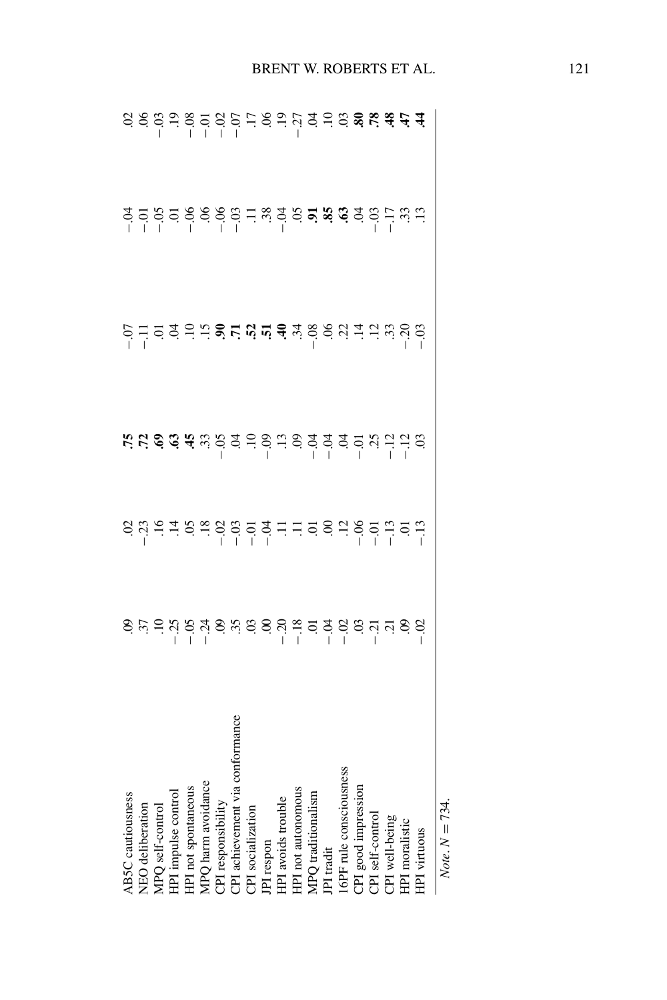| AB5C cautiousness         |                         |                                                                                                        |                    | $-0.7$                      |                           |           |
|---------------------------|-------------------------|--------------------------------------------------------------------------------------------------------|--------------------|-----------------------------|---------------------------|-----------|
| NEO deliberation          |                         | ಿ.<br>- 3                                                                                              | おちる                | $\overline{a}$              | ट ड ड<br>उन्हे            |           |
| MPQ self-control          | $\frac{37}{10}$         | $-16$                                                                                                  |                    |                             |                           |           |
| IPI impulse control       |                         |                                                                                                        | යි                 |                             | Ģ                         |           |
| IPI not spontaneous       | នុ ខុ <del>នុ</del><br> | 50.                                                                                                    | 45                 |                             | $\frac{8}{1}$             |           |
| MPO harm avoidance        |                         | $\overline{18}$                                                                                        | $\frac{33}{10}$    | S.                          | $\widetilde{\mathcal{S}}$ |           |
| <b>PI</b> responsibility  | $\ddot{\mathrm{e}}$     |                                                                                                        |                    |                             | $-0.05 - 0.03$            |           |
| CPI achievement vi        | $\ddot{35}$             |                                                                                                        | $\ddot{q}$ is      |                             |                           |           |
| <b>PI</b> socialization   | $\overline{0}$          | $\begin{array}{c}\n 8 \\  8 \\  \hline\n 1 \\  \hline\n 1 \\  \hline\n 1 \\  \hline\n 1\n \end{array}$ |                    | ន្តដូងដូ                    | $\vec{=}$                 |           |
| PI respon                 | $\mathcal{S}$           |                                                                                                        | $-0.09$            |                             | 38                        |           |
| <b>PI</b> avoids trouble  |                         | $\frac{1}{2}$                                                                                          |                    | $\frac{4}{3}$ $\frac{1}{4}$ | $-5$                      |           |
| HPI not autonomous        | $-20$<br>$-18$          | $\bar{z}$                                                                                              | $\frac{13}{5}$     |                             | 50.                       |           |
| <b>MPO</b> traditionalism | ō.                      | Ξ.                                                                                                     | $\frac{1}{2}$      | $-0.8$                      | 5                         |           |
| PI tradit                 |                         | $\odot$                                                                                                |                    | S.                          | $\ddot{3}$                |           |
| 6PF rule consciousnes:    | $30 - 20$               | $\ddot{5}$                                                                                             | Ř                  | 214                         |                           |           |
| CPI good impressior       | 03                      | $-0.5$                                                                                                 |                    |                             | इं                        |           |
| CPI self-control          | $-21$                   |                                                                                                        |                    | $\overline{12}$             | $-03$                     |           |
| CPI well-being            | $\ddot{c}$              | $\frac{13}{10}$                                                                                        | $-33.2$<br>$-12.2$ | 33                          | $-17$                     | 5.5988844 |
| PI moralistic             |                         |                                                                                                        |                    | $-20$                       | 33                        |           |
| <b>PI</b> virtuous        | $-02$                   | $-13$                                                                                                  | $\overline{0}$     | $-03$                       |                           |           |
|                           |                         |                                                                                                        |                    |                             |                           |           |

*Note*. *N* = 734.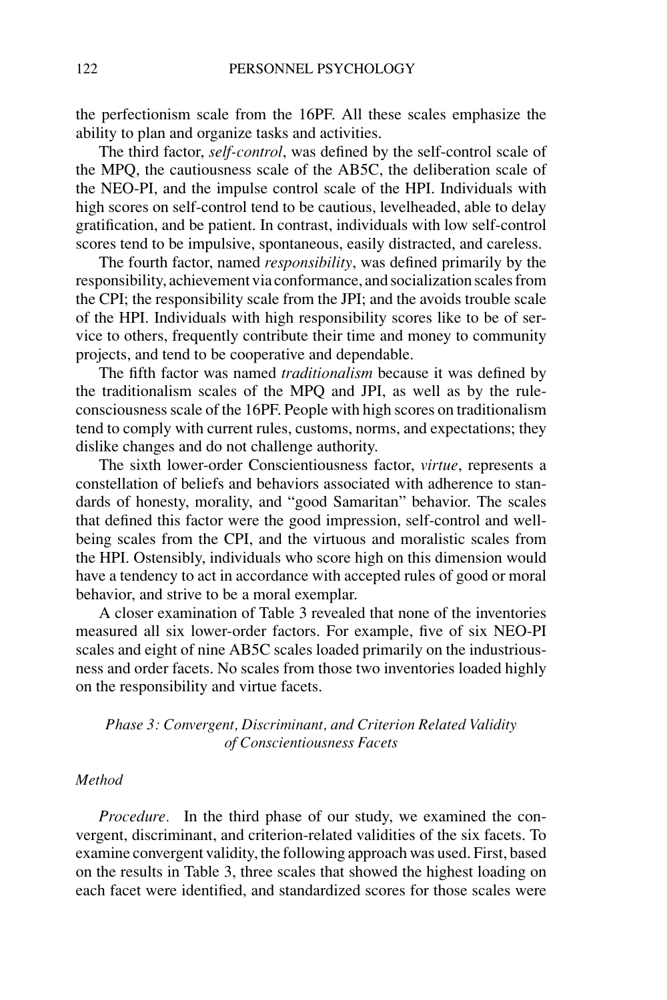the perfectionism scale from the 16PF. All these scales emphasize the ability to plan and organize tasks and activities.

The third factor, *self-control*, was defined by the self-control scale of the MPQ, the cautiousness scale of the AB5C, the deliberation scale of the NEO-PI, and the impulse control scale of the HPI. Individuals with high scores on self-control tend to be cautious, levelheaded, able to delay gratification, and be patient. In contrast, individuals with low self-control scores tend to be impulsive, spontaneous, easily distracted, and careless.

The fourth factor, named *responsibility*, was defined primarily by the responsibility, achievement via conformance, and socialization scales from the CPI; the responsibility scale from the JPI; and the avoids trouble scale of the HPI. Individuals with high responsibility scores like to be of service to others, frequently contribute their time and money to community projects, and tend to be cooperative and dependable.

The fifth factor was named *traditionalism* because it was defined by the traditionalism scales of the MPQ and JPI, as well as by the ruleconsciousness scale of the 16PF. People with high scores on traditionalism tend to comply with current rules, customs, norms, and expectations; they dislike changes and do not challenge authority.

The sixth lower-order Conscientiousness factor, *virtue*, represents a constellation of beliefs and behaviors associated with adherence to standards of honesty, morality, and "good Samaritan" behavior. The scales that defined this factor were the good impression, self-control and wellbeing scales from the CPI, and the virtuous and moralistic scales from the HPI. Ostensibly, individuals who score high on this dimension would have a tendency to act in accordance with accepted rules of good or moral behavior, and strive to be a moral exemplar.

A closer examination of Table 3 revealed that none of the inventories measured all six lower-order factors. For example, five of six NEO-PI scales and eight of nine AB5C scales loaded primarily on the industriousness and order facets. No scales from those two inventories loaded highly on the responsibility and virtue facets.

```
Phase 3: Convergent, Discriminant, and Criterion Related Validity
                  of Conscientiousness Facets
```
## *Method*

*Procedure.* In the third phase of our study, we examined the convergent, discriminant, and criterion-related validities of the six facets. To examine convergent validity, the following approach was used. First, based on the results in Table 3, three scales that showed the highest loading on each facet were identified, and standardized scores for those scales were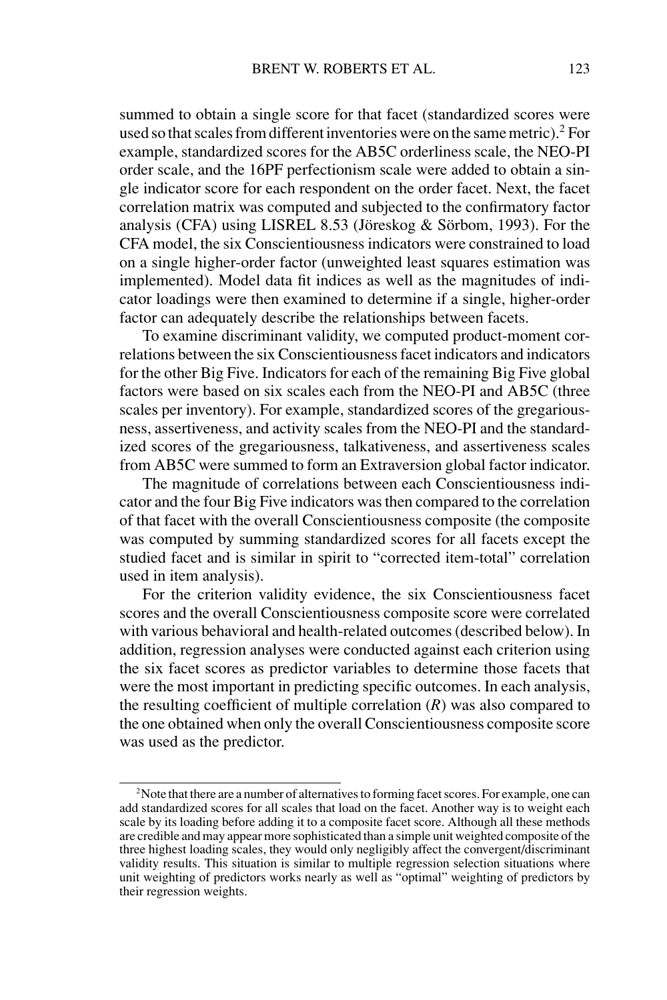summed to obtain a single score for that facet (standardized scores were used so that scales from different inventories were on the same metric). $2$  For example, standardized scores for the AB5C orderliness scale, the NEO-PI order scale, and the 16PF perfectionism scale were added to obtain a single indicator score for each respondent on the order facet. Next, the facet correlation matrix was computed and subjected to the confirmatory factor analysis (CFA) using LISREL 8.53 (Jöreskog  $\&$  Sörbom, 1993). For the CFA model, the six Conscientiousness indicators were constrained to load on a single higher-order factor (unweighted least squares estimation was implemented). Model data fit indices as well as the magnitudes of indicator loadings were then examined to determine if a single, higher-order factor can adequately describe the relationships between facets.

To examine discriminant validity, we computed product-moment correlations between the six Conscientiousness facet indicators and indicators for the other Big Five. Indicators for each of the remaining Big Five global factors were based on six scales each from the NEO-PI and AB5C (three scales per inventory). For example, standardized scores of the gregariousness, assertiveness, and activity scales from the NEO-PI and the standardized scores of the gregariousness, talkativeness, and assertiveness scales from AB5C were summed to form an Extraversion global factor indicator.

The magnitude of correlations between each Conscientiousness indicator and the four Big Five indicators was then compared to the correlation of that facet with the overall Conscientiousness composite (the composite was computed by summing standardized scores for all facets except the studied facet and is similar in spirit to "corrected item-total" correlation used in item analysis).

For the criterion validity evidence, the six Conscientiousness facet scores and the overall Conscientiousness composite score were correlated with various behavioral and health-related outcomes (described below). In addition, regression analyses were conducted against each criterion using the six facet scores as predictor variables to determine those facets that were the most important in predicting specific outcomes. In each analysis, the resulting coefficient of multiple correlation (*R*) was also compared to the one obtained when only the overall Conscientiousness composite score was used as the predictor.

<sup>&</sup>lt;sup>2</sup>Note that there are a number of alternatives to forming facet scores. For example, one can add standardized scores for all scales that load on the facet. Another way is to weight each scale by its loading before adding it to a composite facet score. Although all these methods are credible and may appear more sophisticated than a simple unit weighted composite of the three highest loading scales, they would only negligibly affect the convergent/discriminant validity results. This situation is similar to multiple regression selection situations where unit weighting of predictors works nearly as well as "optimal" weighting of predictors by their regression weights.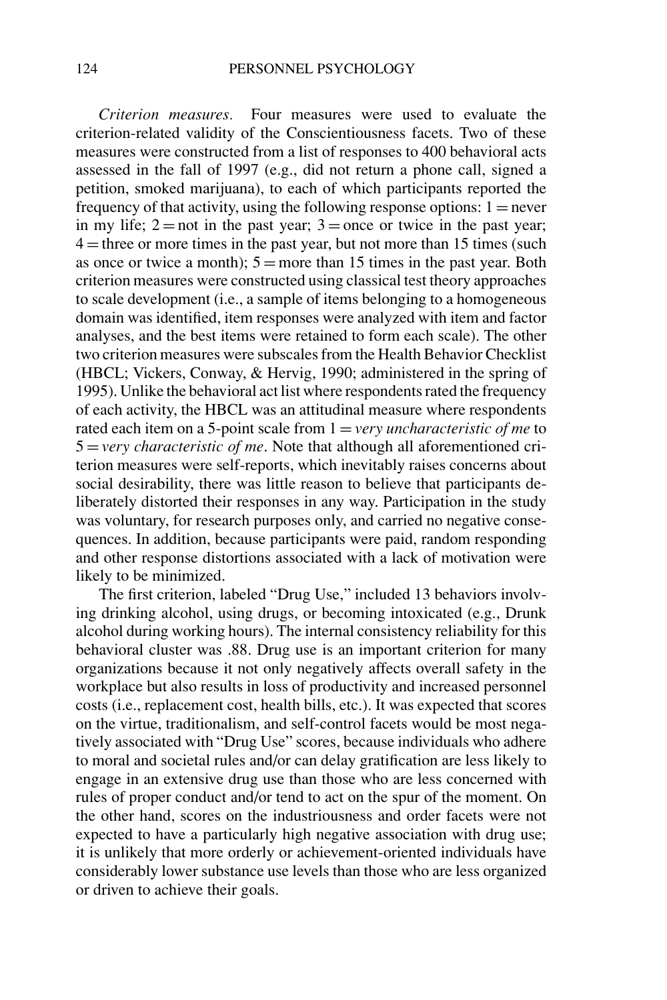*Criterion measures.* Four measures were used to evaluate the criterion-related validity of the Conscientiousness facets. Two of these measures were constructed from a list of responses to 400 behavioral acts assessed in the fall of 1997 (e.g., did not return a phone call, signed a petition, smoked marijuana), to each of which participants reported the frequency of that activity, using the following response options:  $1 =$  never in my life;  $2 = not$  in the past year;  $3 = once$  or twice in the past year;  $4 =$  three or more times in the past year, but not more than 15 times (such as once or twice a month);  $5 =$  more than 15 times in the past year. Both criterion measures were constructed using classical test theory approaches to scale development (i.e., a sample of items belonging to a homogeneous domain was identified, item responses were analyzed with item and factor analyses, and the best items were retained to form each scale). The other two criterion measures were subscales from the Health Behavior Checklist (HBCL; Vickers, Conway, & Hervig, 1990; administered in the spring of 1995). Unlike the behavioral act list where respondents rated the frequency of each activity, the HBCL was an attitudinal measure where respondents rated each item on a 5-point scale from  $1 = \text{very} uncharacteristic of me$  to 5 = *very characteristic of me*. Note that although all aforementioned criterion measures were self-reports, which inevitably raises concerns about social desirability, there was little reason to believe that participants deliberately distorted their responses in any way. Participation in the study was voluntary, for research purposes only, and carried no negative consequences. In addition, because participants were paid, random responding and other response distortions associated with a lack of motivation were likely to be minimized.

The first criterion, labeled "Drug Use," included 13 behaviors involving drinking alcohol, using drugs, or becoming intoxicated (e.g., Drunk alcohol during working hours). The internal consistency reliability for this behavioral cluster was .88. Drug use is an important criterion for many organizations because it not only negatively affects overall safety in the workplace but also results in loss of productivity and increased personnel costs (i.e., replacement cost, health bills, etc.). It was expected that scores on the virtue, traditionalism, and self-control facets would be most negatively associated with "Drug Use" scores, because individuals who adhere to moral and societal rules and/or can delay gratification are less likely to engage in an extensive drug use than those who are less concerned with rules of proper conduct and/or tend to act on the spur of the moment. On the other hand, scores on the industriousness and order facets were not expected to have a particularly high negative association with drug use; it is unlikely that more orderly or achievement-oriented individuals have considerably lower substance use levels than those who are less organized or driven to achieve their goals.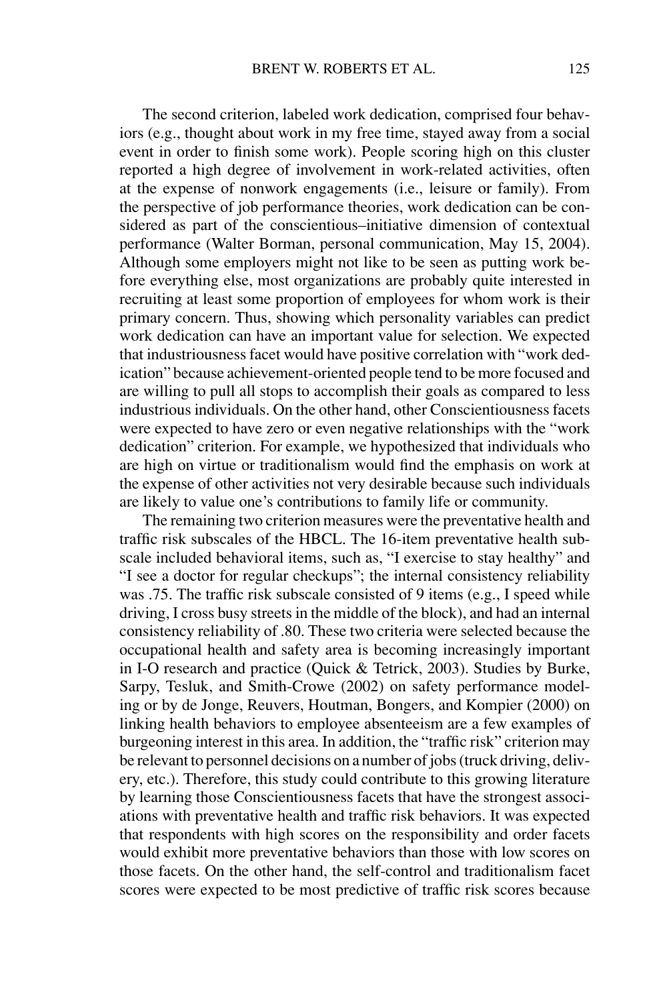The second criterion, labeled work dedication, comprised four behaviors (e.g., thought about work in my free time, stayed away from a social event in order to finish some work). People scoring high on this cluster reported a high degree of involvement in work-related activities, often at the expense of nonwork engagements (i.e., leisure or family). From the perspective of job performance theories, work dedication can be considered as part of the conscientious–initiative dimension of contextual performance (Walter Borman, personal communication, May 15, 2004). Although some employers might not like to be seen as putting work before everything else, most organizations are probably quite interested in recruiting at least some proportion of employees for whom work is their primary concern. Thus, showing which personality variables can predict work dedication can have an important value for selection. We expected that industriousness facet would have positive correlation with "work dedication" because achievement-oriented people tend to be more focused and are willing to pull all stops to accomplish their goals as compared to less industrious individuals. On the other hand, other Conscientiousness facets were expected to have zero or even negative relationships with the "work dedication" criterion. For example, we hypothesized that individuals who are high on virtue or traditionalism would find the emphasis on work at the expense of other activities not very desirable because such individuals are likely to value one's contributions to family life or community.

The remaining two criterion measures were the preventative health and traffic risk subscales of the HBCL. The 16-item preventative health subscale included behavioral items, such as, "I exercise to stay healthy" and "I see a doctor for regular checkups"; the internal consistency reliability was .75. The traffic risk subscale consisted of 9 items (e.g., I speed while driving, I cross busy streets in the middle of the block), and had an internal consistency reliability of .80. These two criteria were selected because the occupational health and safety area is becoming increasingly important in I-O research and practice (Quick & Tetrick, 2003). Studies by Burke, Sarpy, Tesluk, and Smith-Crowe (2002) on safety performance modeling or by de Jonge, Reuvers, Houtman, Bongers, and Kompier (2000) on linking health behaviors to employee absenteeism are a few examples of burgeoning interest in this area. In addition, the "traffic risk" criterion may be relevant to personnel decisions on a number of jobs (truck driving, delivery, etc.). Therefore, this study could contribute to this growing literature by learning those Conscientiousness facets that have the strongest associations with preventative health and traffic risk behaviors. It was expected that respondents with high scores on the responsibility and order facets would exhibit more preventative behaviors than those with low scores on those facets. On the other hand, the self-control and traditionalism facet scores were expected to be most predictive of traffic risk scores because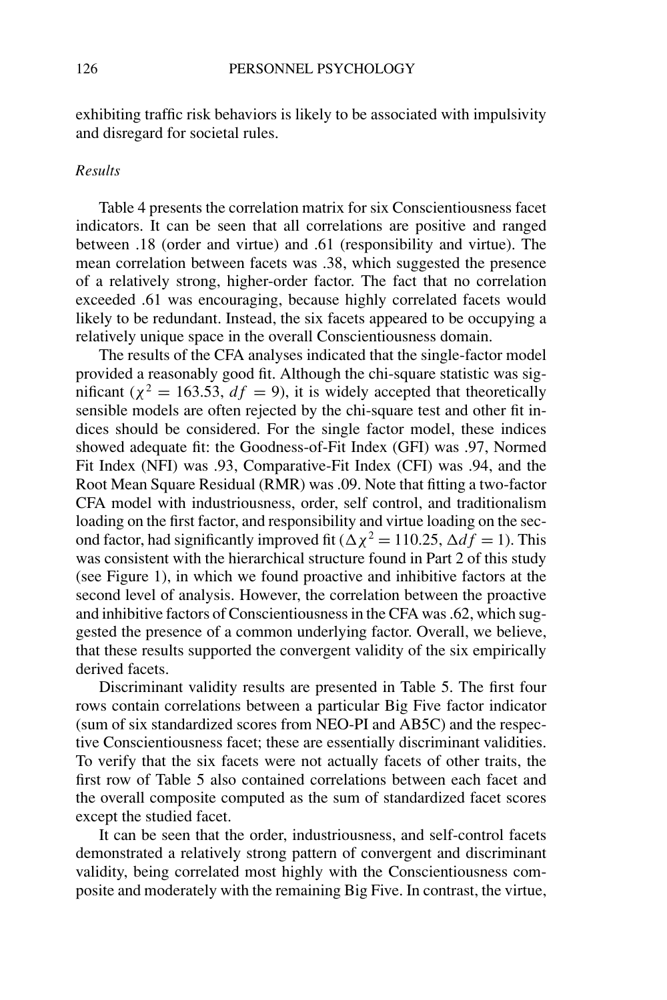exhibiting traffic risk behaviors is likely to be associated with impulsivity and disregard for societal rules.

# *Results*

Table 4 presents the correlation matrix for six Conscientiousness facet indicators. It can be seen that all correlations are positive and ranged between .18 (order and virtue) and .61 (responsibility and virtue). The mean correlation between facets was .38, which suggested the presence of a relatively strong, higher-order factor. The fact that no correlation exceeded .61 was encouraging, because highly correlated facets would likely to be redundant. Instead, the six facets appeared to be occupying a relatively unique space in the overall Conscientiousness domain.

The results of the CFA analyses indicated that the single-factor model provided a reasonably good fit. Although the chi-square statistic was significant ( $\chi^2 = 163.53$ ,  $df = 9$ ), it is widely accepted that theoretically sensible models are often rejected by the chi-square test and other fit indices should be considered. For the single factor model, these indices showed adequate fit: the Goodness-of-Fit Index (GFI) was .97, Normed Fit Index (NFI) was .93, Comparative-Fit Index (CFI) was .94, and the Root Mean Square Residual (RMR) was .09. Note that fitting a two-factor CFA model with industriousness, order, self control, and traditionalism loading on the first factor, and responsibility and virtue loading on the second factor, had significantly improved fit ( $\Delta \chi^2 = 110.25$ ,  $\Delta df = 1$ ). This was consistent with the hierarchical structure found in Part 2 of this study (see Figure 1), in which we found proactive and inhibitive factors at the second level of analysis. However, the correlation between the proactive and inhibitive factors of Conscientiousness in the CFA was .62, which suggested the presence of a common underlying factor. Overall, we believe, that these results supported the convergent validity of the six empirically derived facets.

Discriminant validity results are presented in Table 5. The first four rows contain correlations between a particular Big Five factor indicator (sum of six standardized scores from NEO-PI and AB5C) and the respective Conscientiousness facet; these are essentially discriminant validities. To verify that the six facets were not actually facets of other traits, the first row of Table 5 also contained correlations between each facet and the overall composite computed as the sum of standardized facet scores except the studied facet.

It can be seen that the order, industriousness, and self-control facets demonstrated a relatively strong pattern of convergent and discriminant validity, being correlated most highly with the Conscientiousness composite and moderately with the remaining Big Five. In contrast, the virtue,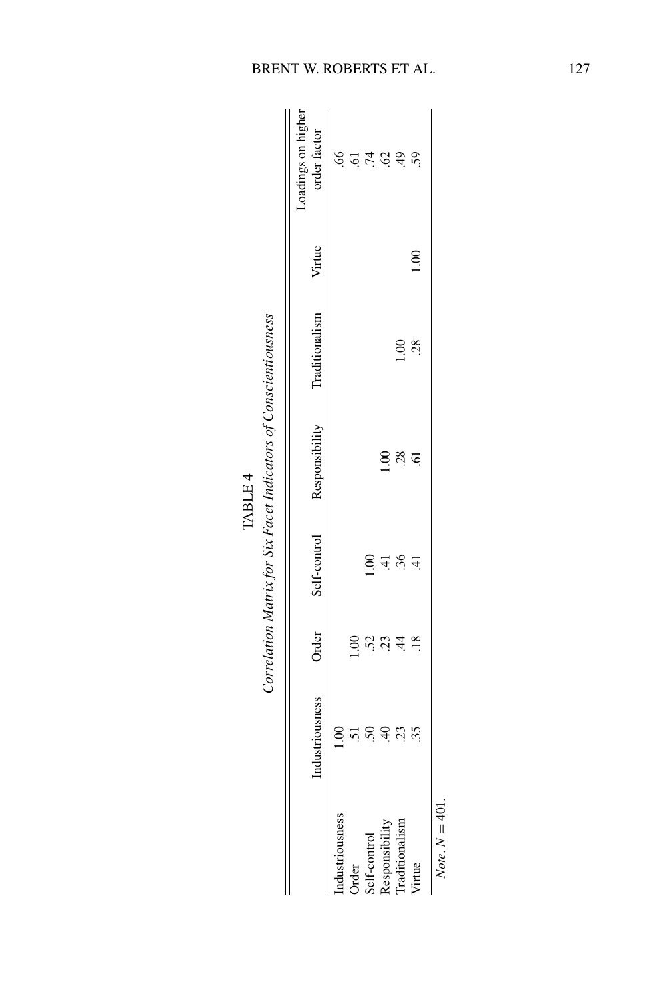| TABLE 4 | elation Matrix for Six Facet Indicators of Conscientiousn |
|---------|-----------------------------------------------------------|
|---------|-----------------------------------------------------------|

|                 |    |   | י בדחות ו                                                        |                                                                         |          |                                    |
|-----------------|----|---|------------------------------------------------------------------|-------------------------------------------------------------------------|----------|------------------------------------|
|                 |    |   | Correlation Matrix for Six Facet Indicators of Conscientiousness |                                                                         |          |                                    |
|                 |    |   |                                                                  | Industriousness Order Self-control Responsibility Traditionalism Virtue |          | Loadings on higher<br>order factor |
| Industriousness |    |   |                                                                  |                                                                         |          |                                    |
| Order           |    |   |                                                                  |                                                                         |          |                                    |
| Self-control    |    |   |                                                                  |                                                                         |          |                                    |
| Responsibility  | Ҿ  |   |                                                                  |                                                                         |          |                                    |
| Traditionalism  | 23 | 4 |                                                                  | Ş                                                                       |          |                                    |
| Virtue          |    |   |                                                                  | $\frac{28}{2}$                                                          | $_{0.1}$ |                                    |
| $\sim$          |    |   |                                                                  |                                                                         |          |                                    |

*Note*. *N*  $= 401.$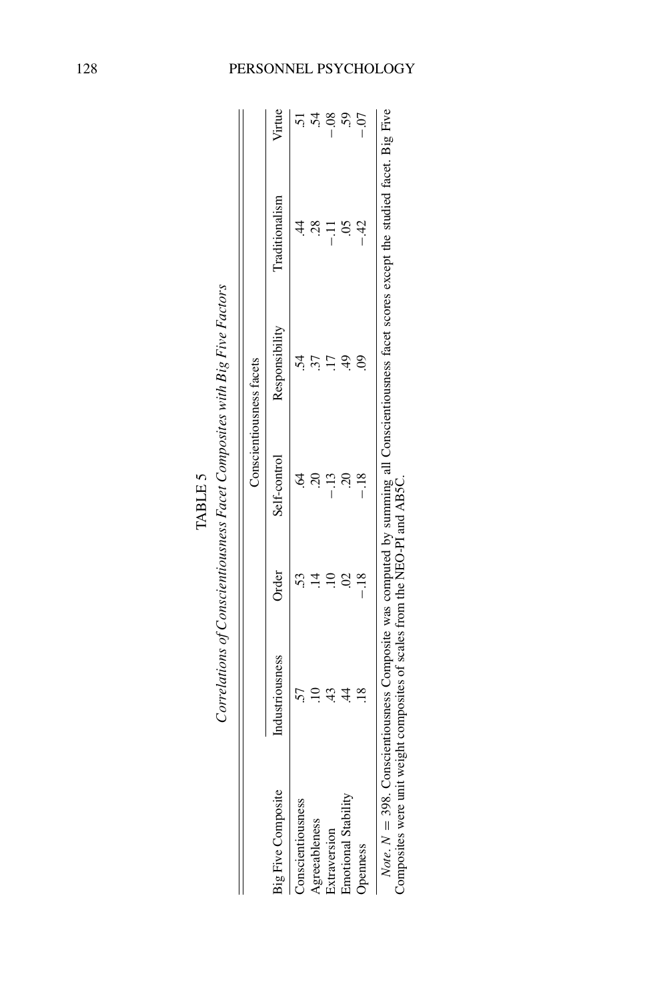|                           |                 |       |              | Correlations of Conscientiousness Facet Composites with Big Five Factors |                |        |
|---------------------------|-----------------|-------|--------------|--------------------------------------------------------------------------|----------------|--------|
|                           |                 |       |              | Conscientiousness facets                                                 |                |        |
| <b>Big Five Composite</b> | Industriousness | Order | Self-control | Responsibility                                                           | Traditionalism | Virtue |
| <b>Conscientiousness</b>  |                 |       |              |                                                                          |                |        |
| Agreeableness             |                 |       |              |                                                                          |                | 54     |
| Extraversion              |                 |       |              |                                                                          |                | $-0.8$ |
| Inotional Stability       |                 |       |              |                                                                          |                | 59     |
| penness                   |                 |       |              |                                                                          |                |        |
|                           |                 |       |              |                                                                          |                |        |

*Note*. *N* 398. Conscientiousness Composite was computed by summing all Conscientiousness facet scores except the studied facet. Big Five Composites were unit weight composites of scales from the NEO-PI and AB5C.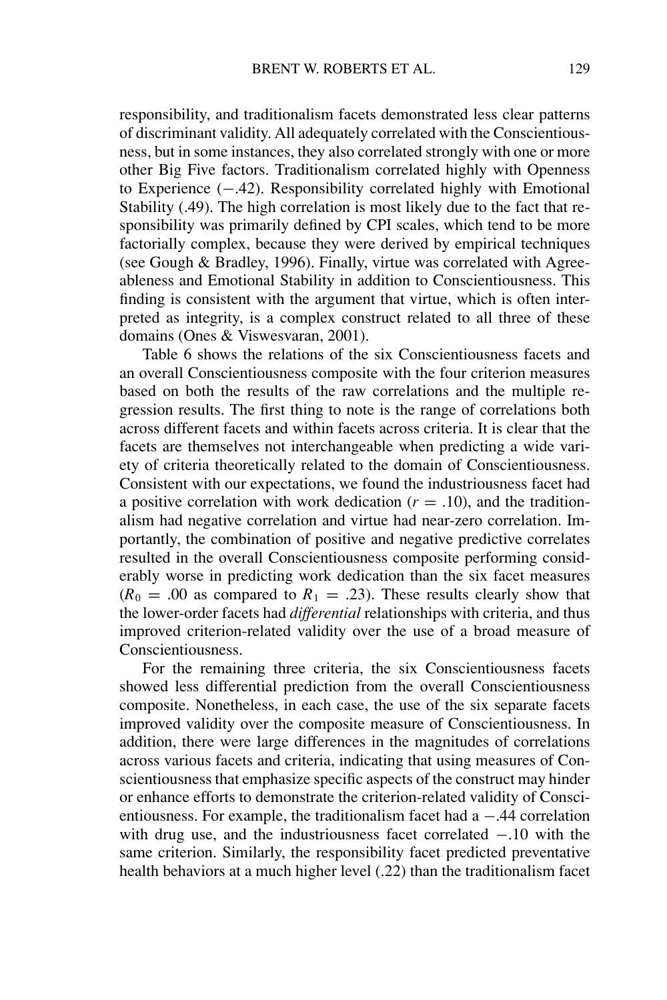responsibility, and traditionalism facets demonstrated less clear patterns of discriminant validity. All adequately correlated with the Conscientiousness, but in some instances, they also correlated strongly with one or more other Big Five factors. Traditionalism correlated highly with Openness to Experience (−.42). Responsibility correlated highly with Emotional Stability (.49). The high correlation is most likely due to the fact that responsibility was primarily defined by CPI scales, which tend to be more factorially complex, because they were derived by empirical techniques (see Gough & Bradley, 1996). Finally, virtue was correlated with Agreeableness and Emotional Stability in addition to Conscientiousness. This finding is consistent with the argument that virtue, which is often interpreted as integrity, is a complex construct related to all three of these domains (Ones & Viswesvaran, 2001).

Table 6 shows the relations of the six Conscientiousness facets and an overall Conscientiousness composite with the four criterion measures based on both the results of the raw correlations and the multiple regression results. The first thing to note is the range of correlations both across different facets and within facets across criteria. It is clear that the facets are themselves not interchangeable when predicting a wide variety of criteria theoretically related to the domain of Conscientiousness. Consistent with our expectations, we found the industriousness facet had a positive correlation with work dedication  $(r = .10)$ , and the traditionalism had negative correlation and virtue had near-zero correlation. Importantly, the combination of positive and negative predictive correlates resulted in the overall Conscientiousness composite performing considerably worse in predicting work dedication than the six facet measures  $(R_0 = .00$  as compared to  $R_1 = .23$ ). These results clearly show that the lower-order facets had *differential* relationships with criteria, and thus improved criterion-related validity over the use of a broad measure of Conscientiousness.

For the remaining three criteria, the six Conscientiousness facets showed less differential prediction from the overall Conscientiousness composite. Nonetheless, in each case, the use of the six separate facets improved validity over the composite measure of Conscientiousness. In addition, there were large differences in the magnitudes of correlations across various facets and criteria, indicating that using measures of Conscientiousness that emphasize specific aspects of the construct may hinder or enhance efforts to demonstrate the criterion-related validity of Conscientiousness. For example, the traditionalism facet had a −.44 correlation with drug use, and the industriousness facet correlated −.10 with the same criterion. Similarly, the responsibility facet predicted preventative health behaviors at a much higher level (.22) than the traditionalism facet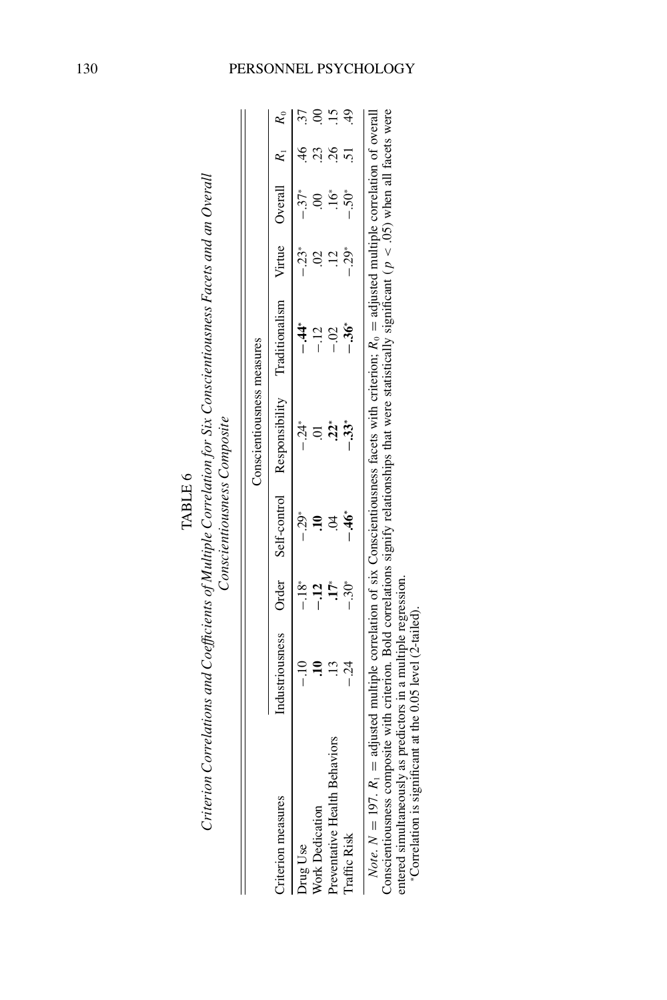Criterion Correlations and Coefficients of Multiple Correlation for Six Conscientiousness Facets and an Overall Conscientiousness Composite

TABLE 6

TABLE 6

| Criterion Correlations and Coefficients of Multiple Correlation for Six Conscientiousness Facets and an Overall |       | Conscientiousness Composite |                            |                                                                                             |  |  |
|-----------------------------------------------------------------------------------------------------------------|-------|-----------------------------|----------------------------|---------------------------------------------------------------------------------------------|--|--|
|                                                                                                                 |       |                             | Conscientiousness measures |                                                                                             |  |  |
| Criterion measures                                                                                              |       |                             |                            | Industriousness Order Self-control Responsibility Traditionalism Virtue Overall $R_1$ $R_0$ |  |  |
| Drug Use                                                                                                        |       |                             |                            |                                                                                             |  |  |
| Work Dedication                                                                                                 | $-12$ |                             |                            | $-12$                                                                                       |  |  |
| Preventative Health Behaviors                                                                                   |       |                             |                            |                                                                                             |  |  |
| Traffic Risk                                                                                                    |       |                             |                            | چُ<br>−                                                                                     |  |  |
|                                                                                                                 |       |                             |                            |                                                                                             |  |  |

 $R_0 =$  adjusted multiple correlation of overall  $<$  .05) when all facets were V *p* Conscientiousness composite with criterion. Bold correlations signify relationships that were statistically significant (  $R_1$  = adjusted multiple correlation of six Conscientiousness facets with criterion; entered simultaneously as predictors in a multiple regression.<br>"Correlation is significant at the 0.05 level (2-tailed). = 197. *Note*. *N*

entered simultaneously as predictors in a multiple regression. <br> ∗Correlation is significant at the 0.05 level (2-tailed).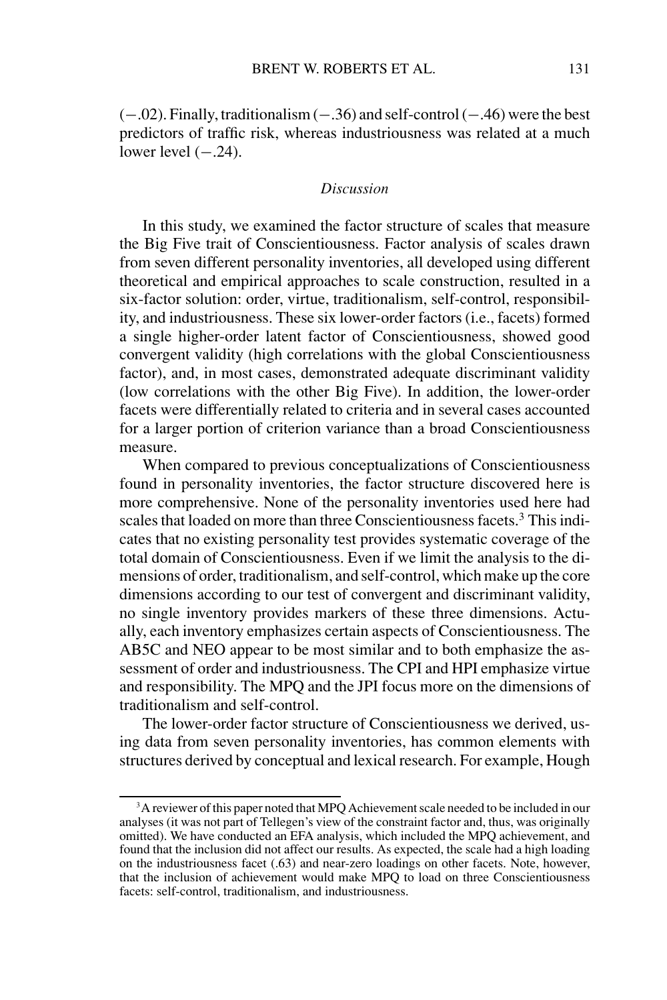$(-.02)$ . Finally, traditionalism  $(-.36)$  and self-control  $(-.46)$  were the best predictors of traffic risk, whereas industriousness was related at a much lower level  $(-.24)$ .

#### *Discussion*

In this study, we examined the factor structure of scales that measure the Big Five trait of Conscientiousness. Factor analysis of scales drawn from seven different personality inventories, all developed using different theoretical and empirical approaches to scale construction, resulted in a six-factor solution: order, virtue, traditionalism, self-control, responsibility, and industriousness. These six lower-order factors (i.e., facets) formed a single higher-order latent factor of Conscientiousness, showed good convergent validity (high correlations with the global Conscientiousness factor), and, in most cases, demonstrated adequate discriminant validity (low correlations with the other Big Five). In addition, the lower-order facets were differentially related to criteria and in several cases accounted for a larger portion of criterion variance than a broad Conscientiousness measure.

When compared to previous conceptualizations of Conscientiousness found in personality inventories, the factor structure discovered here is more comprehensive. None of the personality inventories used here had scales that loaded on more than three Conscientiousness facets.<sup>3</sup> This indicates that no existing personality test provides systematic coverage of the total domain of Conscientiousness. Even if we limit the analysis to the dimensions of order, traditionalism, and self-control, which make up the core dimensions according to our test of convergent and discriminant validity, no single inventory provides markers of these three dimensions. Actually, each inventory emphasizes certain aspects of Conscientiousness. The AB5C and NEO appear to be most similar and to both emphasize the assessment of order and industriousness. The CPI and HPI emphasize virtue and responsibility. The MPQ and the JPI focus more on the dimensions of traditionalism and self-control.

The lower-order factor structure of Conscientiousness we derived, using data from seven personality inventories, has common elements with structures derived by conceptual and lexical research. For example, Hough

<sup>&</sup>lt;sup>3</sup>A reviewer of this paper noted that MPQ Achievement scale needed to be included in our analyses (it was not part of Tellegen's view of the constraint factor and, thus, was originally omitted). We have conducted an EFA analysis, which included the MPQ achievement, and found that the inclusion did not affect our results. As expected, the scale had a high loading on the industriousness facet (.63) and near-zero loadings on other facets. Note, however, that the inclusion of achievement would make MPQ to load on three Conscientiousness facets: self-control, traditionalism, and industriousness.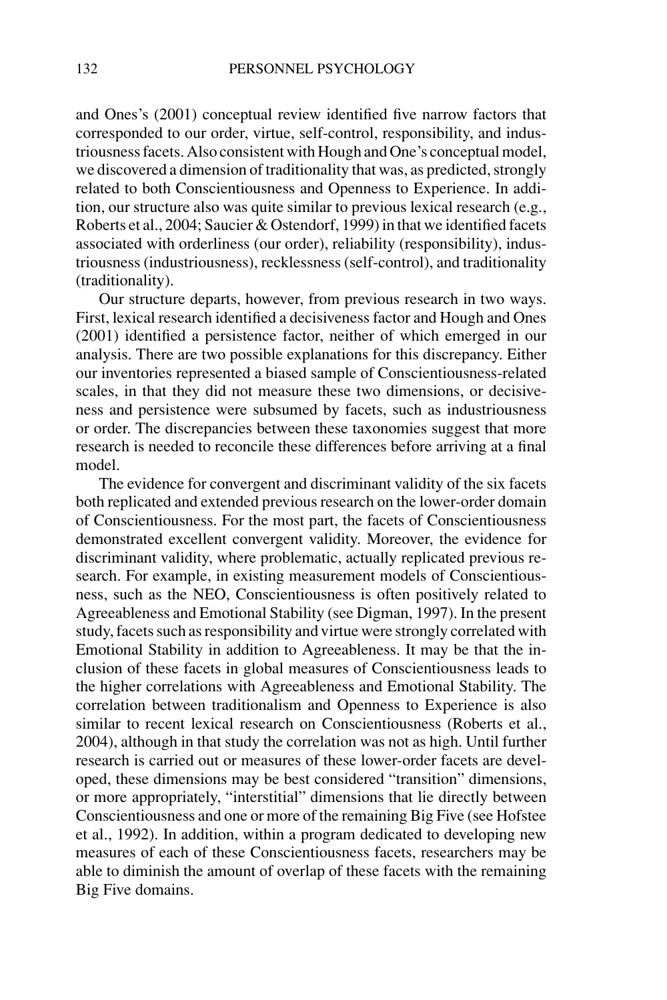and Ones's (2001) conceptual review identified five narrow factors that corresponded to our order, virtue, self-control, responsibility, and industriousness facets. Also consistent with Hough and One's conceptual model, we discovered a dimension of traditionality that was, as predicted, strongly related to both Conscientiousness and Openness to Experience. In addition, our structure also was quite similar to previous lexical research (e.g., Roberts et al., 2004; Saucier & Ostendorf, 1999) in that we identified facets associated with orderliness (our order), reliability (responsibility), industriousness (industriousness), recklessness (self-control), and traditionality (traditionality).

Our structure departs, however, from previous research in two ways. First, lexical research identified a decisiveness factor and Hough and Ones (2001) identified a persistence factor, neither of which emerged in our analysis. There are two possible explanations for this discrepancy. Either our inventories represented a biased sample of Conscientiousness-related scales, in that they did not measure these two dimensions, or decisiveness and persistence were subsumed by facets, such as industriousness or order. The discrepancies between these taxonomies suggest that more research is needed to reconcile these differences before arriving at a final model.

The evidence for convergent and discriminant validity of the six facets both replicated and extended previous research on the lower-order domain of Conscientiousness. For the most part, the facets of Conscientiousness demonstrated excellent convergent validity. Moreover, the evidence for discriminant validity, where problematic, actually replicated previous research. For example, in existing measurement models of Conscientiousness, such as the NEO, Conscientiousness is often positively related to Agreeableness and Emotional Stability (see Digman, 1997). In the present study, facets such as responsibility and virtue were strongly correlated with Emotional Stability in addition to Agreeableness. It may be that the inclusion of these facets in global measures of Conscientiousness leads to the higher correlations with Agreeableness and Emotional Stability. The correlation between traditionalism and Openness to Experience is also similar to recent lexical research on Conscientiousness (Roberts et al., 2004), although in that study the correlation was not as high. Until further research is carried out or measures of these lower-order facets are developed, these dimensions may be best considered "transition" dimensions, or more appropriately, "interstitial" dimensions that lie directly between Conscientiousness and one or more of the remaining Big Five (see Hofstee et al., 1992). In addition, within a program dedicated to developing new measures of each of these Conscientiousness facets, researchers may be able to diminish the amount of overlap of these facets with the remaining Big Five domains.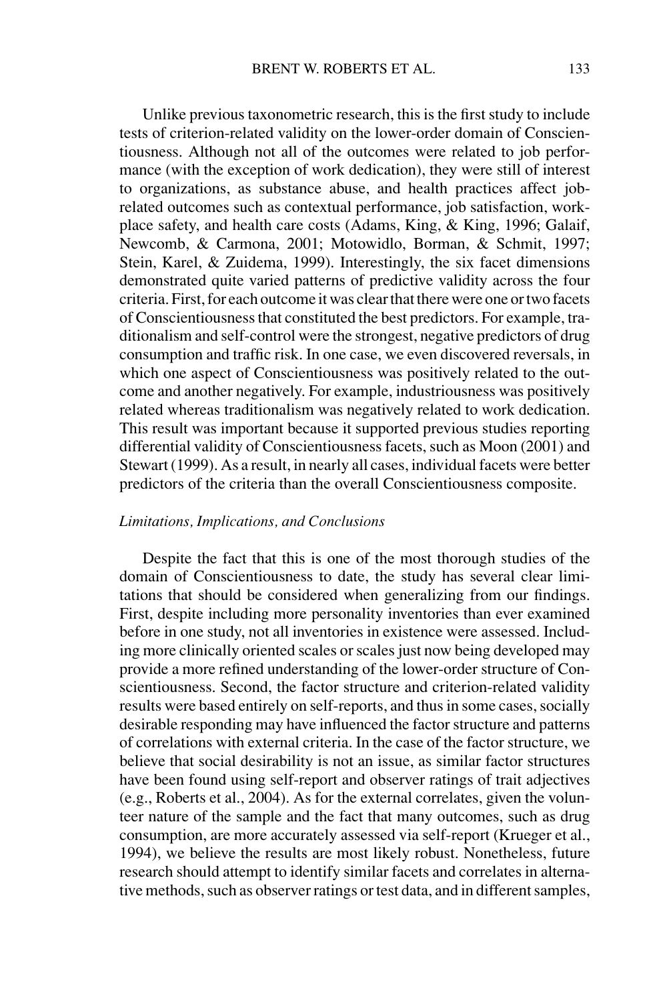Unlike previous taxonometric research, this is the first study to include tests of criterion-related validity on the lower-order domain of Conscientiousness. Although not all of the outcomes were related to job performance (with the exception of work dedication), they were still of interest to organizations, as substance abuse, and health practices affect jobrelated outcomes such as contextual performance, job satisfaction, workplace safety, and health care costs (Adams, King, & King, 1996; Galaif, Newcomb, & Carmona, 2001; Motowidlo, Borman, & Schmit, 1997; Stein, Karel, & Zuidema, 1999). Interestingly, the six facet dimensions demonstrated quite varied patterns of predictive validity across the four criteria. First, for each outcome it was clear that there were one or two facets of Conscientiousness that constituted the best predictors. For example, traditionalism and self-control were the strongest, negative predictors of drug consumption and traffic risk. In one case, we even discovered reversals, in which one aspect of Conscientiousness was positively related to the outcome and another negatively. For example, industriousness was positively related whereas traditionalism was negatively related to work dedication. This result was important because it supported previous studies reporting differential validity of Conscientiousness facets, such as Moon (2001) and Stewart (1999). As a result, in nearly all cases, individual facets were better predictors of the criteria than the overall Conscientiousness composite.

#### *Limitations, Implications, and Conclusions*

Despite the fact that this is one of the most thorough studies of the domain of Conscientiousness to date, the study has several clear limitations that should be considered when generalizing from our findings. First, despite including more personality inventories than ever examined before in one study, not all inventories in existence were assessed. Including more clinically oriented scales or scales just now being developed may provide a more refined understanding of the lower-order structure of Conscientiousness. Second, the factor structure and criterion-related validity results were based entirely on self-reports, and thus in some cases, socially desirable responding may have influenced the factor structure and patterns of correlations with external criteria. In the case of the factor structure, we believe that social desirability is not an issue, as similar factor structures have been found using self-report and observer ratings of trait adjectives (e.g., Roberts et al., 2004). As for the external correlates, given the volunteer nature of the sample and the fact that many outcomes, such as drug consumption, are more accurately assessed via self-report (Krueger et al., 1994), we believe the results are most likely robust. Nonetheless, future research should attempt to identify similar facets and correlates in alternative methods, such as observer ratings or test data, and in different samples,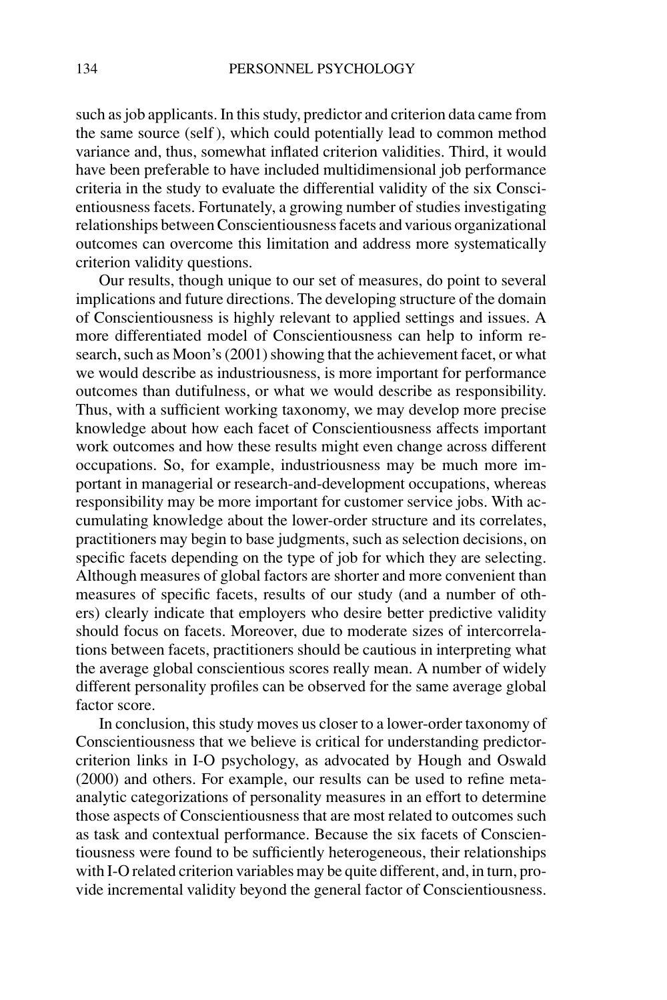such as job applicants. In this study, predictor and criterion data came from the same source (self ), which could potentially lead to common method variance and, thus, somewhat inflated criterion validities. Third, it would have been preferable to have included multidimensional job performance criteria in the study to evaluate the differential validity of the six Conscientiousness facets. Fortunately, a growing number of studies investigating relationships between Conscientiousness facets and various organizational outcomes can overcome this limitation and address more systematically criterion validity questions.

Our results, though unique to our set of measures, do point to several implications and future directions. The developing structure of the domain of Conscientiousness is highly relevant to applied settings and issues. A more differentiated model of Conscientiousness can help to inform research, such as Moon's (2001) showing that the achievement facet, or what we would describe as industriousness, is more important for performance outcomes than dutifulness, or what we would describe as responsibility. Thus, with a sufficient working taxonomy, we may develop more precise knowledge about how each facet of Conscientiousness affects important work outcomes and how these results might even change across different occupations. So, for example, industriousness may be much more important in managerial or research-and-development occupations, whereas responsibility may be more important for customer service jobs. With accumulating knowledge about the lower-order structure and its correlates, practitioners may begin to base judgments, such as selection decisions, on specific facets depending on the type of job for which they are selecting. Although measures of global factors are shorter and more convenient than measures of specific facets, results of our study (and a number of others) clearly indicate that employers who desire better predictive validity should focus on facets. Moreover, due to moderate sizes of intercorrelations between facets, practitioners should be cautious in interpreting what the average global conscientious scores really mean. A number of widely different personality profiles can be observed for the same average global factor score.

In conclusion, this study moves us closer to a lower-order taxonomy of Conscientiousness that we believe is critical for understanding predictorcriterion links in I-O psychology, as advocated by Hough and Oswald (2000) and others. For example, our results can be used to refine metaanalytic categorizations of personality measures in an effort to determine those aspects of Conscientiousness that are most related to outcomes such as task and contextual performance. Because the six facets of Conscientiousness were found to be sufficiently heterogeneous, their relationships with I-O related criterion variables may be quite different, and, in turn, provide incremental validity beyond the general factor of Conscientiousness.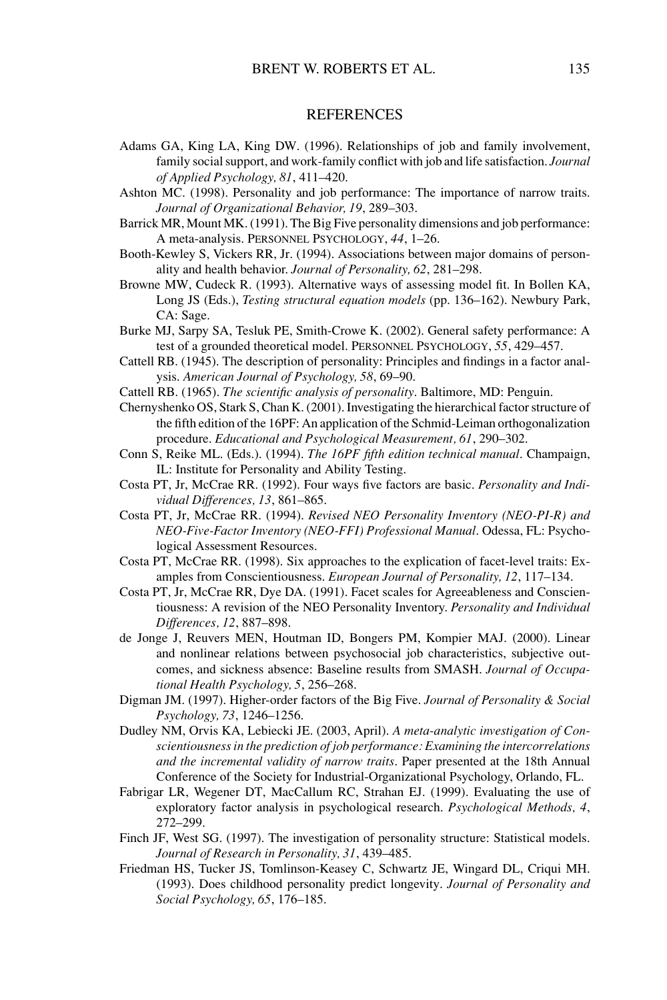#### REFERENCES

- Adams GA, King LA, King DW. (1996). Relationships of job and family involvement, family social support, and work-family conflict with job and life satisfaction. *Journal of Applied Psychology, 81*, 411–420.
- Ashton MC. (1998). Personality and job performance: The importance of narrow traits. *Journal of Organizational Behavior, 19*, 289–303.
- Barrick MR, Mount MK. (1991). The Big Five personality dimensions and job performance: A meta-analysis. PERSONNEL PSYCHOLOGY, *44*, 1–26.
- Booth-Kewley S, Vickers RR, Jr. (1994). Associations between major domains of personality and health behavior. *Journal of Personality, 62*, 281–298.
- Browne MW, Cudeck R. (1993). Alternative ways of assessing model fit. In Bollen KA, Long JS (Eds.), *Testing structural equation models* (pp. 136–162). Newbury Park, CA: Sage.
- Burke MJ, Sarpy SA, Tesluk PE, Smith-Crowe K. (2002). General safety performance: A test of a grounded theoretical model. PERSONNEL PSYCHOLOGY, *55*, 429–457.
- Cattell RB. (1945). The description of personality: Principles and findings in a factor analysis. *American Journal of Psychology, 58*, 69–90.
- Cattell RB. (1965). *The scientific analysis of personality*. Baltimore, MD: Penguin.
- Chernyshenko OS, Stark S, Chan K. (2001). Investigating the hierarchical factor structure of the fifth edition of the 16PF: An application of the Schmid-Leiman orthogonalization procedure. *Educational and Psychological Measurement, 61*, 290–302.
- Conn S, Reike ML. (Eds.). (1994). *The 16PF fifth edition technical manual*. Champaign, IL: Institute for Personality and Ability Testing.
- Costa PT, Jr, McCrae RR. (1992). Four ways five factors are basic. *Personality and Individual Differences, 13*, 861–865.
- Costa PT, Jr, McCrae RR. (1994). *Revised NEO Personality Inventory (NEO-PI-R) and NEO-Five-Factor Inventory (NEO-FFI) Professional Manual*. Odessa, FL: Psychological Assessment Resources.
- Costa PT, McCrae RR. (1998). Six approaches to the explication of facet-level traits: Examples from Conscientiousness. *European Journal of Personality, 12*, 117–134.
- Costa PT, Jr, McCrae RR, Dye DA. (1991). Facet scales for Agreeableness and Conscientiousness: A revision of the NEO Personality Inventory. *Personality and Individual Differences, 12*, 887–898.
- de Jonge J, Reuvers MEN, Houtman ID, Bongers PM, Kompier MAJ. (2000). Linear and nonlinear relations between psychosocial job characteristics, subjective outcomes, and sickness absence: Baseline results from SMASH. *Journal of Occupational Health Psychology, 5*, 256–268.
- Digman JM. (1997). Higher-order factors of the Big Five. *Journal of Personality & Social Psychology, 73*, 1246–1256.
- Dudley NM, Orvis KA, Lebiecki JE. (2003, April). *A meta-analytic investigation of Conscientiousness in the prediction of job performance: Examining the intercorrelations and the incremental validity of narrow traits*. Paper presented at the 18th Annual Conference of the Society for Industrial-Organizational Psychology, Orlando, FL.
- Fabrigar LR, Wegener DT, MacCallum RC, Strahan EJ. (1999). Evaluating the use of exploratory factor analysis in psychological research. *Psychological Methods, 4*, 272–299.
- Finch JF, West SG. (1997). The investigation of personality structure: Statistical models. *Journal of Research in Personality, 31*, 439–485.
- Friedman HS, Tucker JS, Tomlinson-Keasey C, Schwartz JE, Wingard DL, Criqui MH. (1993). Does childhood personality predict longevity. *Journal of Personality and Social Psychology, 65*, 176–185.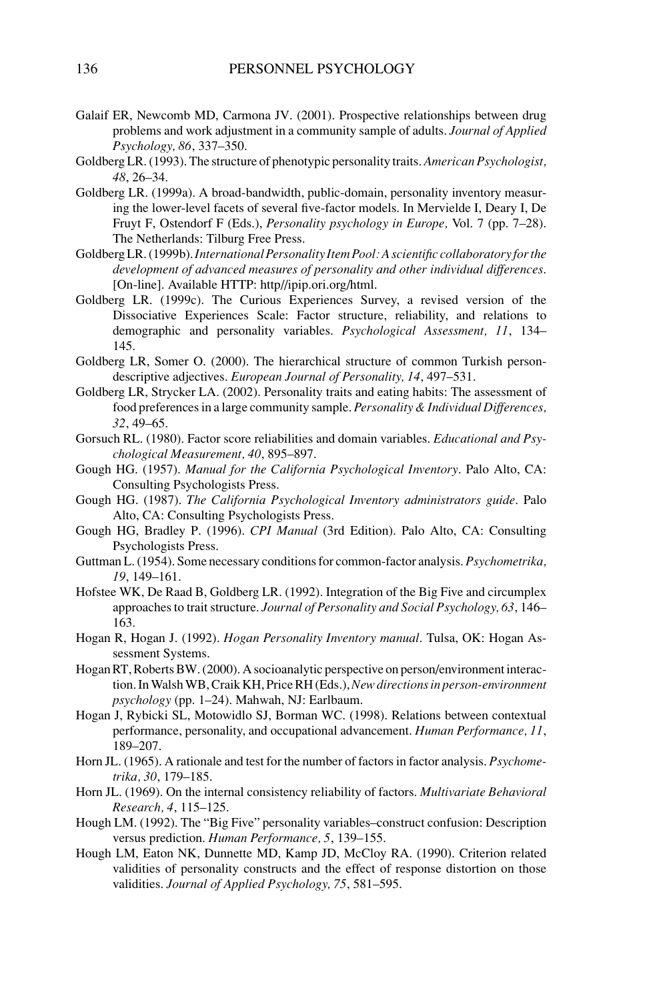- Galaif ER, Newcomb MD, Carmona JV. (2001). Prospective relationships between drug problems and work adjustment in a community sample of adults. *Journal of Applied Psychology, 86*, 337–350.
- Goldberg LR. (1993). The structure of phenotypic personality traits. *American Psychologist, 48*, 26–34.
- Goldberg LR. (1999a). A broad-bandwidth, public-domain, personality inventory measuring the lower-level facets of several five-factor models. In Mervielde I, Deary I, De Fruyt F, Ostendorf F (Eds.), *Personality psychology in Europe,* Vol. 7 (pp. 7–28). The Netherlands: Tilburg Free Press.
- Goldberg LR. (1999b).*International Personality Item Pool: A scientific collaboratory for the development of advanced measures of personality and other individual differences*. [On-line]. Available HTTP: http//ipip.ori.org/html.
- Goldberg LR. (1999c). The Curious Experiences Survey, a revised version of the Dissociative Experiences Scale: Factor structure, reliability, and relations to demographic and personality variables. *Psychological Assessment, 11*, 134– 145.
- Goldberg LR, Somer O. (2000). The hierarchical structure of common Turkish persondescriptive adjectives. *European Journal of Personality, 14*, 497–531.
- Goldberg LR, Strycker LA. (2002). Personality traits and eating habits: The assessment of food preferences in a large community sample. *Personality & Individual Differences, 32*, 49–65.
- Gorsuch RL. (1980). Factor score reliabilities and domain variables. *Educational and Psychological Measurement, 40*, 895–897.
- Gough HG. (1957). *Manual for the California Psychological Inventory*. Palo Alto, CA: Consulting Psychologists Press.
- Gough HG. (1987). *The California Psychological Inventory administrators guide*. Palo Alto, CA: Consulting Psychologists Press.
- Gough HG, Bradley P. (1996). *CPI Manual* (3rd Edition). Palo Alto, CA: Consulting Psychologists Press.
- Guttman L. (1954). Some necessary conditions for common-factor analysis. *Psychometrika, 19*, 149–161.
- Hofstee WK, De Raad B, Goldberg LR. (1992). Integration of the Big Five and circumplex approaches to trait structure. *Journal of Personality and Social Psychology, 63*, 146– 163.
- Hogan R, Hogan J. (1992). *Hogan Personality Inventory manual*. Tulsa, OK: Hogan Assessment Systems.
- Hogan RT, Roberts BW. (2000). A socioanalytic perspective on person/environment interaction. In Walsh WB, Craik KH, Price RH (Eds.),*New directions in person-environment psychology* (pp. 1–24). Mahwah, NJ: Earlbaum.
- Hogan J, Rybicki SL, Motowidlo SJ, Borman WC. (1998). Relations between contextual performance, personality, and occupational advancement. *Human Performance, 11*, 189–207.
- Horn JL. (1965). A rationale and test for the number of factors in factor analysis. *Psychometrika, 30*, 179–185.
- Horn JL. (1969). On the internal consistency reliability of factors. *Multivariate Behavioral Research, 4*, 115–125.
- Hough LM. (1992). The "Big Five" personality variables–construct confusion: Description versus prediction. *Human Performance, 5*, 139–155.
- Hough LM, Eaton NK, Dunnette MD, Kamp JD, McCloy RA. (1990). Criterion related validities of personality constructs and the effect of response distortion on those validities. *Journal of Applied Psychology, 75*, 581–595.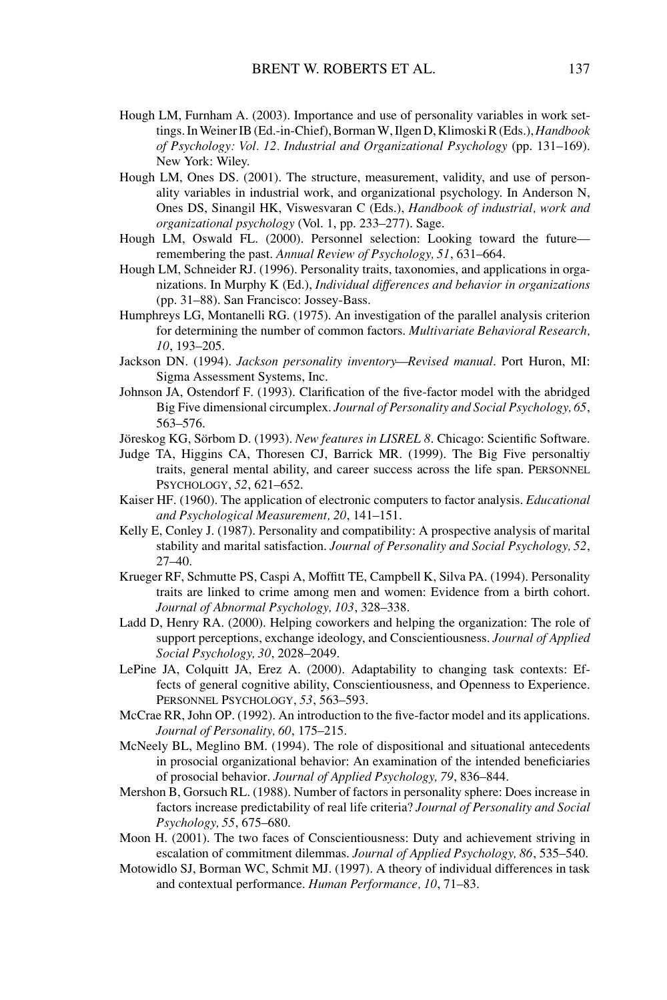- Hough LM, Furnham A. (2003). Importance and use of personality variables in work settings. In Weiner IB (Ed.-in-Chief), Borman W, Ilgen D, Klimoski R (Eds.),*Handbook of Psychology: Vol. 12. Industrial and Organizational Psychology* (pp. 131–169). New York: Wiley.
- Hough LM, Ones DS. (2001). The structure, measurement, validity, and use of personality variables in industrial work, and organizational psychology. In Anderson N, Ones DS, Sinangil HK, Viswesvaran C (Eds.), *Handbook of industrial, work and organizational psychology* (Vol. 1, pp. 233–277). Sage.
- Hough LM, Oswald FL. (2000). Personnel selection: Looking toward the future remembering the past. *Annual Review of Psychology, 51*, 631–664.
- Hough LM, Schneider RJ. (1996). Personality traits, taxonomies, and applications in organizations. In Murphy K (Ed.), *Individual differences and behavior in organizations* (pp. 31–88). San Francisco: Jossey-Bass.
- Humphreys LG, Montanelli RG. (1975). An investigation of the parallel analysis criterion for determining the number of common factors. *Multivariate Behavioral Research, 10*, 193–205.
- Jackson DN. (1994). *Jackson personality inventory—Revised manual*. Port Huron, MI: Sigma Assessment Systems, Inc.
- Johnson JA, Ostendorf F. (1993). Clarification of the five-factor model with the abridged Big Five dimensional circumplex. *Journal of Personality and Social Psychology, 65*, 563–576.
- Jöreskog KG, Sörbom D. (1993). *New features in LISREL 8*. Chicago: Scientific Software.
- Judge TA, Higgins CA, Thoresen CJ, Barrick MR. (1999). The Big Five personaltiy traits, general mental ability, and career success across the life span. PERSONNEL PSYCHOLOGY, *52*, 621–652.
- Kaiser HF. (1960). The application of electronic computers to factor analysis. *Educational and Psychological Measurement, 20*, 141–151.
- Kelly E, Conley J. (1987). Personality and compatibility: A prospective analysis of marital stability and marital satisfaction. *Journal of Personality and Social Psychology, 52*, 27–40.
- Krueger RF, Schmutte PS, Caspi A, Moffitt TE, Campbell K, Silva PA. (1994). Personality traits are linked to crime among men and women: Evidence from a birth cohort. *Journal of Abnormal Psychology, 103*, 328–338.
- Ladd D, Henry RA. (2000). Helping coworkers and helping the organization: The role of support perceptions, exchange ideology, and Conscientiousness. *Journal of Applied Social Psychology, 30*, 2028–2049.
- LePine JA, Colquitt JA, Erez A. (2000). Adaptability to changing task contexts: Effects of general cognitive ability, Conscientiousness, and Openness to Experience. PERSONNEL PSYCHOLOGY, *53*, 563–593.
- McCrae RR, John OP. (1992). An introduction to the five-factor model and its applications. *Journal of Personality, 60*, 175–215.
- McNeely BL, Meglino BM. (1994). The role of dispositional and situational antecedents in prosocial organizational behavior: An examination of the intended beneficiaries of prosocial behavior. *Journal of Applied Psychology, 79*, 836–844.
- Mershon B, Gorsuch RL. (1988). Number of factors in personality sphere: Does increase in factors increase predictability of real life criteria? *Journal of Personality and Social Psychology, 55*, 675–680.
- Moon H. (2001). The two faces of Conscientiousness: Duty and achievement striving in escalation of commitment dilemmas. *Journal of Applied Psychology, 86*, 535–540.
- Motowidlo SJ, Borman WC, Schmit MJ. (1997). A theory of individual differences in task and contextual performance. *Human Performance, 10*, 71–83.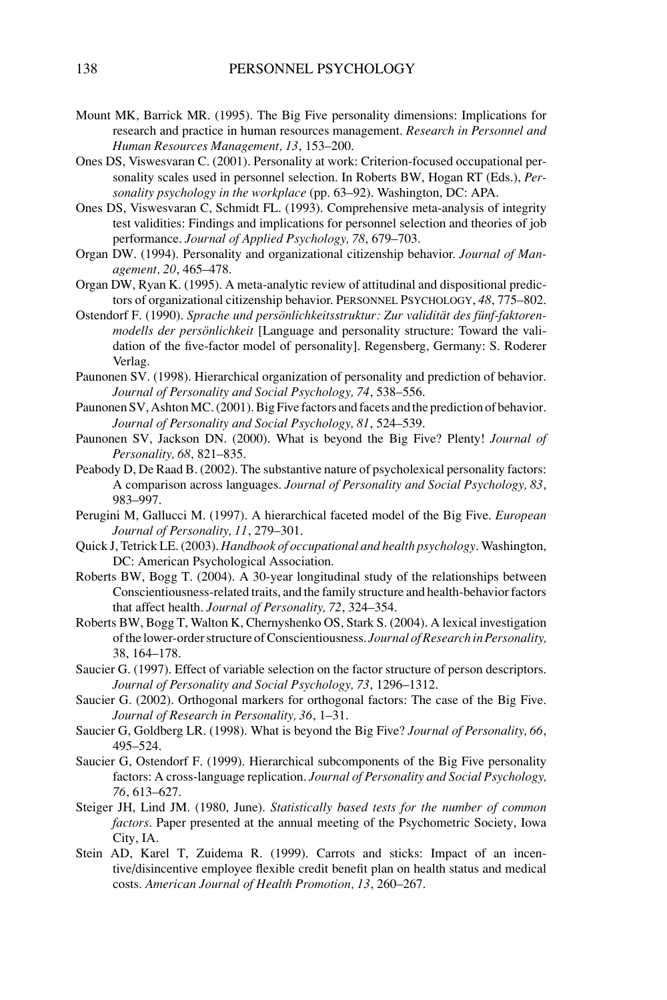- Mount MK, Barrick MR. (1995). The Big Five personality dimensions: Implications for research and practice in human resources management. *Research in Personnel and Human Resources Management, 13*, 153–200.
- Ones DS, Viswesvaran C. (2001). Personality at work: Criterion-focused occupational personality scales used in personnel selection. In Roberts BW, Hogan RT (Eds.), *Personality psychology in the workplace* (pp. 63–92). Washington, DC: APA.
- Ones DS, Viswesvaran C, Schmidt FL. (1993). Comprehensive meta-analysis of integrity test validities: Findings and implications for personnel selection and theories of job performance. *Journal of Applied Psychology, 78*, 679–703.
- Organ DW. (1994). Personality and organizational citizenship behavior. *Journal of Management, 20*, 465–478.
- Organ DW, Ryan K. (1995). A meta-analytic review of attitudinal and dispositional predictors of organizational citizenship behavior. PERSONNEL PSYCHOLOGY, *48*, 775–802.
- Ostendorf F. (1990). *Sprache und persönlichkeitsstruktur: Zur validität des fünf-faktorenmodells der persönlichkeit* [Language and personality structure: Toward the validation of the five-factor model of personality]. Regensberg, Germany: S. Roderer Verlag.
- Paunonen SV. (1998). Hierarchical organization of personality and prediction of behavior. *Journal of Personality and Social Psychology, 74*, 538–556.
- Paunonen SV, Ashton MC. (2001). Big Five factors and facets and the prediction of behavior. *Journal of Personality and Social Psychology, 81*, 524–539.
- Paunonen SV, Jackson DN. (2000). What is beyond the Big Five? Plenty! *Journal of Personality, 68*, 821–835.
- Peabody D, De Raad B. (2002). The substantive nature of psycholexical personality factors: A comparison across languages. *Journal of Personality and Social Psychology, 83*, 983–997.
- Perugini M, Gallucci M. (1997). A hierarchical faceted model of the Big Five. *European Journal of Personality, 11*, 279–301.
- Quick J, Tetrick LE. (2003). *Handbook of occupational and health psychology*. Washington, DC: American Psychological Association.
- Roberts BW, Bogg T. (2004). A 30-year longitudinal study of the relationships between Conscientiousness-related traits, and the family structure and health-behavior factors that affect health. *Journal of Personality, 72*, 324–354.
- Roberts BW, Bogg T, Walton K, Chernyshenko OS, Stark S. (2004). A lexical investigation of the lower-order structure of Conscientiousness. *Journal of Research in Personality,* 38, 164–178.
- Saucier G. (1997). Effect of variable selection on the factor structure of person descriptors. *Journal of Personality and Social Psychology, 73*, 1296–1312.
- Saucier G. (2002). Orthogonal markers for orthogonal factors: The case of the Big Five. *Journal of Research in Personality, 36*, 1–31.
- Saucier G, Goldberg LR. (1998). What is beyond the Big Five? *Journal of Personality, 66*, 495–524.
- Saucier G, Ostendorf F. (1999). Hierarchical subcomponents of the Big Five personality factors: A cross-language replication. *Journal of Personality and Social Psychology, 76*, 613–627.
- Steiger JH, Lind JM. (1980, June). *Statistically based tests for the number of common factors*. Paper presented at the annual meeting of the Psychometric Society, Iowa City, IA.
- Stein AD, Karel T, Zuidema R. (1999). Carrots and sticks: Impact of an incentive/disincentive employee flexible credit benefit plan on health status and medical costs. *American Journal of Health Promotion, 13*, 260–267.